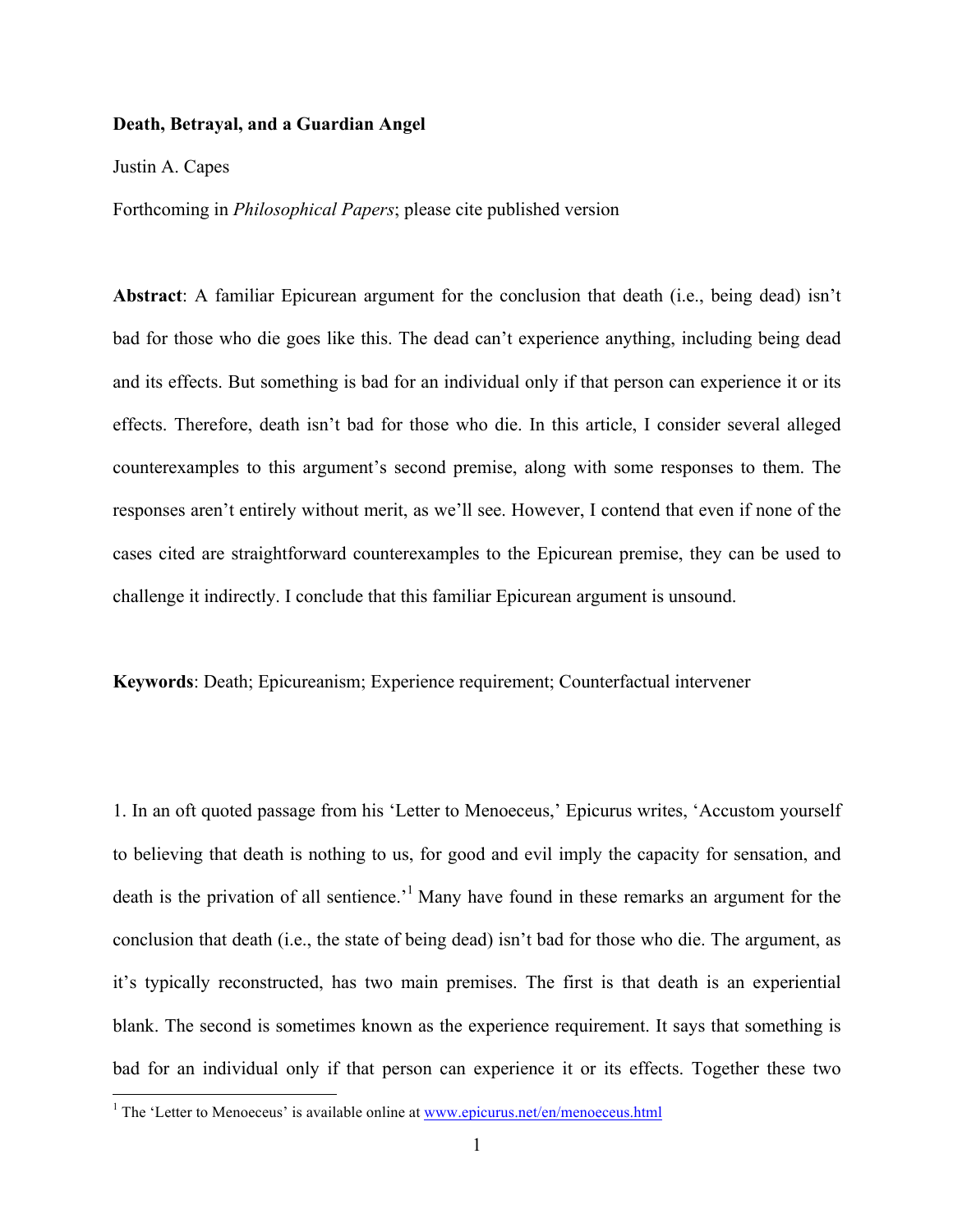## **Death, Betrayal, and a Guardian Angel**

## Justin A. Capes

Forthcoming in *Philosophical Papers*; please cite published version

**Abstract**: A familiar Epicurean argument for the conclusion that death (i.e., being dead) isn't bad for those who die goes like this. The dead can't experience anything, including being dead and its effects. But something is bad for an individual only if that person can experience it or its effects. Therefore, death isn't bad for those who die. In this article, I consider several alleged counterexamples to this argument's second premise, along with some responses to them. The responses aren't entirely without merit, as we'll see. However, I contend that even if none of the cases cited are straightforward counterexamples to the Epicurean premise, they can be used to challenge it indirectly. I conclude that this familiar Epicurean argument is unsound.

**Keywords**: Death; Epicureanism; Experience requirement; Counterfactual intervener

1. In an oft quoted passage from his 'Letter to Menoeceus,' Epicurus writes, 'Accustom yourself to believing that death is nothing to us, for good and evil imply the capacity for sensation, and death is the privation of all sentience.<sup>1</sup> Many have found in these remarks an argument for the conclusion that death (i.e., the state of being dead) isn't bad for those who die. The argument, as it's typically reconstructed, has two main premises. The first is that death is an experiential blank. The second is sometimes known as the experience requirement. It says that something is bad for an individual only if that person can experience it or its effects. Together these two

<sup>&</sup>lt;sup>1</sup> The 'Letter to Menoeceus' is available online at www.epicurus.net/en/menoeceus.html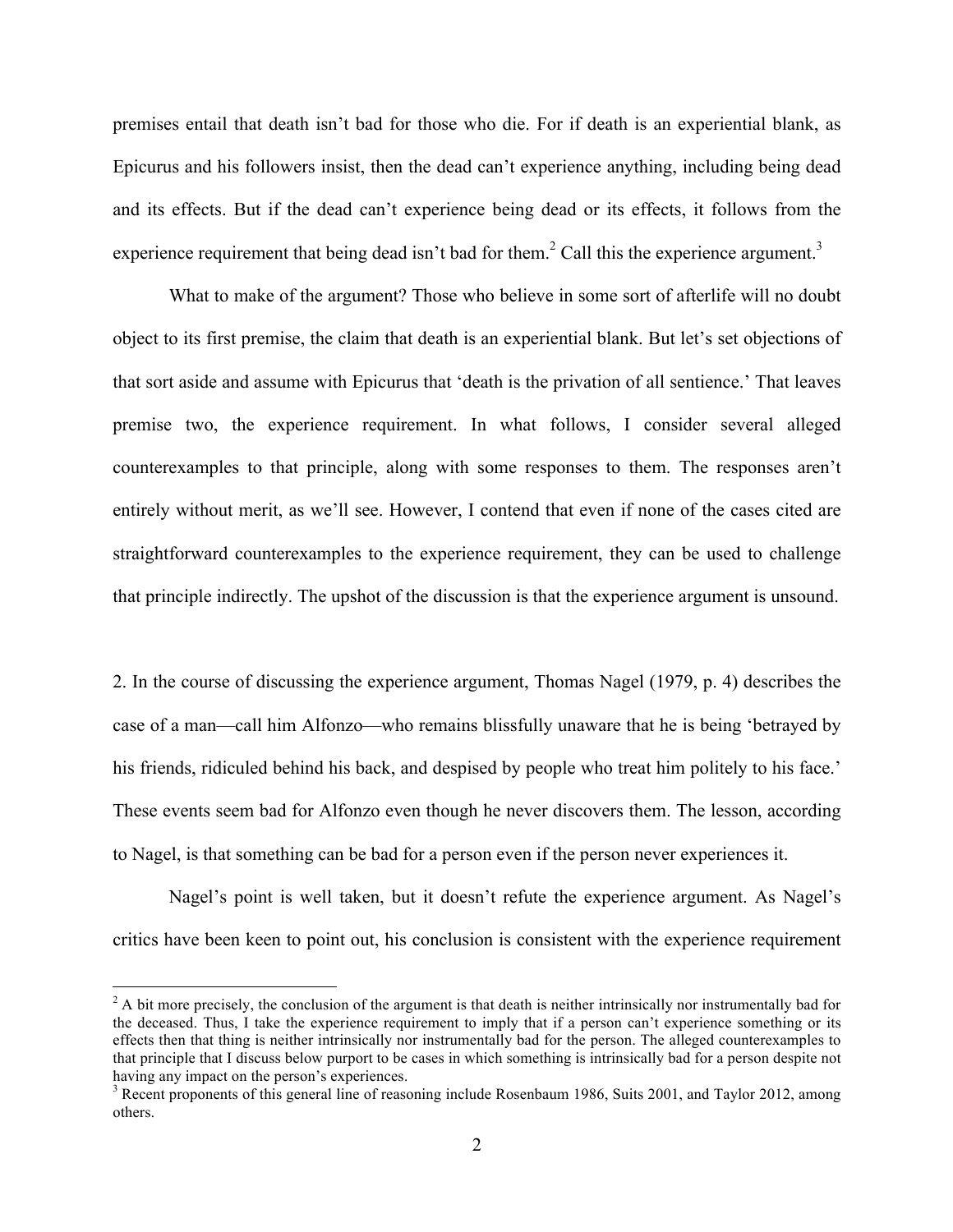premises entail that death isn't bad for those who die. For if death is an experiential blank, as Epicurus and his followers insist, then the dead can't experience anything, including being dead and its effects. But if the dead can't experience being dead or its effects, it follows from the experience requirement that being dead isn't bad for them.<sup>2</sup> Call this the experience argument.<sup>3</sup>

What to make of the argument? Those who believe in some sort of afterlife will no doubt object to its first premise, the claim that death is an experiential blank. But let's set objections of that sort aside and assume with Epicurus that 'death is the privation of all sentience.' That leaves premise two, the experience requirement. In what follows, I consider several alleged counterexamples to that principle, along with some responses to them. The responses aren't entirely without merit, as we'll see. However, I contend that even if none of the cases cited are straightforward counterexamples to the experience requirement, they can be used to challenge that principle indirectly. The upshot of the discussion is that the experience argument is unsound.

2. In the course of discussing the experience argument, Thomas Nagel (1979, p. 4) describes the case of a man—call him Alfonzo—who remains blissfully unaware that he is being 'betrayed by his friends, ridiculed behind his back, and despised by people who treat him politely to his face.' These events seem bad for Alfonzo even though he never discovers them. The lesson, according to Nagel, is that something can be bad for a person even if the person never experiences it.

Nagel's point is well taken, but it doesn't refute the experience argument. As Nagel's critics have been keen to point out, his conclusion is consistent with the experience requirement

 $2<sup>2</sup>$  A bit more precisely, the conclusion of the argument is that death is neither intrinsically nor instrumentally bad for the deceased. Thus, I take the experience requirement to imply that if a person can't experience something or its effects then that thing is neither intrinsically nor instrumentally bad for the person. The alleged counterexamples to that principle that I discuss below purport to be cases in which something is intrinsically bad for a person despite not having any impact on the person's experiences.<br><sup>3</sup> Recent proponents of this general line of reasoning include Rosenbaum 1986, Suits 2001, and Taylor 2012, among

others.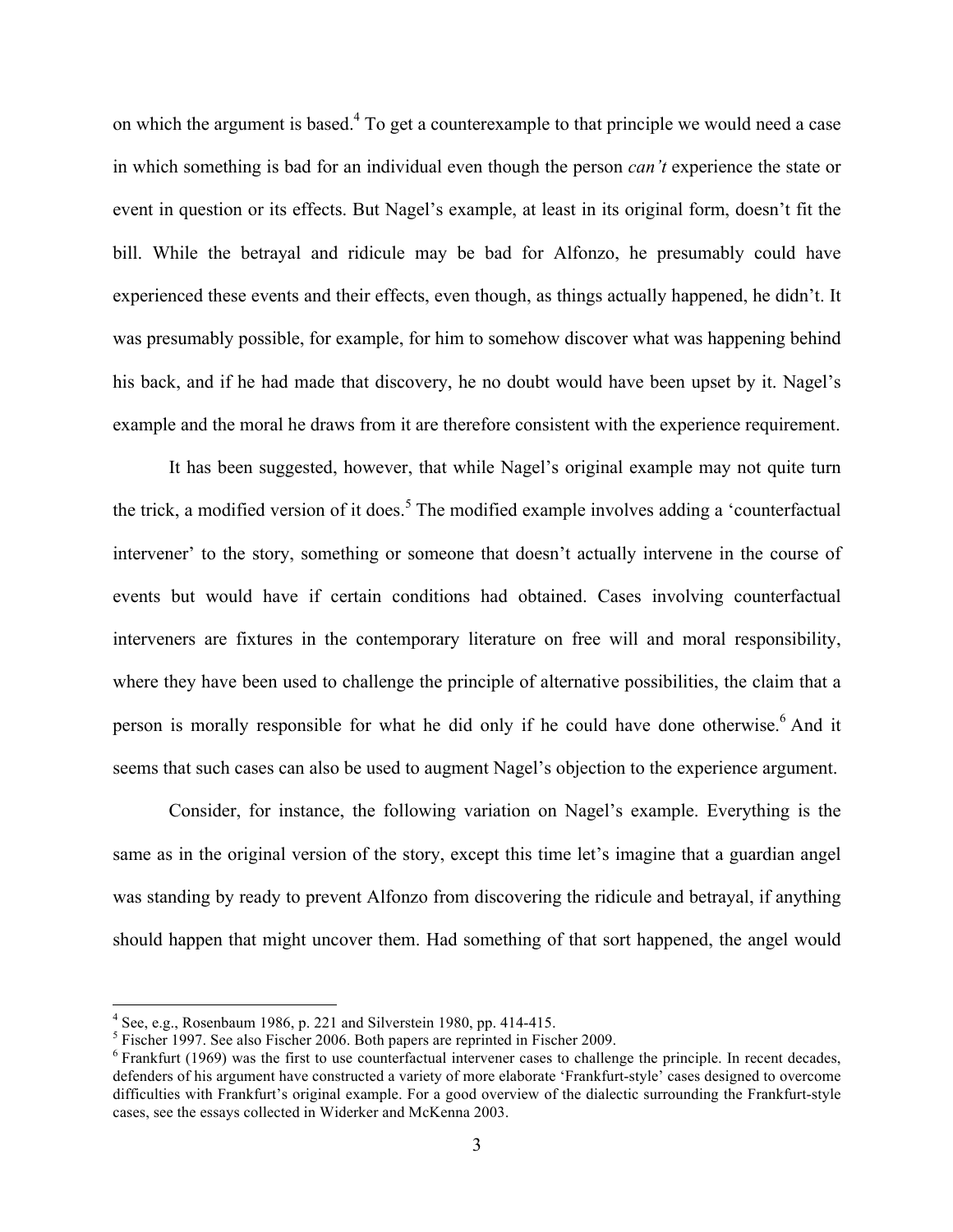on which the argument is based.4 To get a counterexample to that principle we would need a case in which something is bad for an individual even though the person *can't* experience the state or event in question or its effects. But Nagel's example, at least in its original form, doesn't fit the bill. While the betrayal and ridicule may be bad for Alfonzo, he presumably could have experienced these events and their effects, even though, as things actually happened, he didn't. It was presumably possible, for example, for him to somehow discover what was happening behind his back, and if he had made that discovery, he no doubt would have been upset by it. Nagel's example and the moral he draws from it are therefore consistent with the experience requirement.

It has been suggested, however, that while Nagel's original example may not quite turn the trick, a modified version of it does.<sup>5</sup> The modified example involves adding a 'counterfactual' intervener' to the story, something or someone that doesn't actually intervene in the course of events but would have if certain conditions had obtained. Cases involving counterfactual interveners are fixtures in the contemporary literature on free will and moral responsibility, where they have been used to challenge the principle of alternative possibilities, the claim that a person is morally responsible for what he did only if he could have done otherwise.<sup>6</sup> And it seems that such cases can also be used to augment Nagel's objection to the experience argument.

Consider, for instance, the following variation on Nagel's example. Everything is the same as in the original version of the story, except this time let's imagine that a guardian angel was standing by ready to prevent Alfonzo from discovering the ridicule and betrayal, if anything should happen that might uncover them. Had something of that sort happened, the angel would

<sup>&</sup>lt;sup>4</sup> See, e.g., Rosenbaum 1986, p. 221 and Silverstein 1980, pp. 414-415.<br><sup>5</sup> Fischer 1997. See also Fischer 2006. Both papers are reprinted in Fischer 2009.<br><sup>6</sup> Frankfurt (1969) was the first to use counterfactual interve defenders of his argument have constructed a variety of more elaborate 'Frankfurt-style' cases designed to overcome difficulties with Frankfurt's original example. For a good overview of the dialectic surrounding the Frankfurt-style cases, see the essays collected in Widerker and McKenna 2003.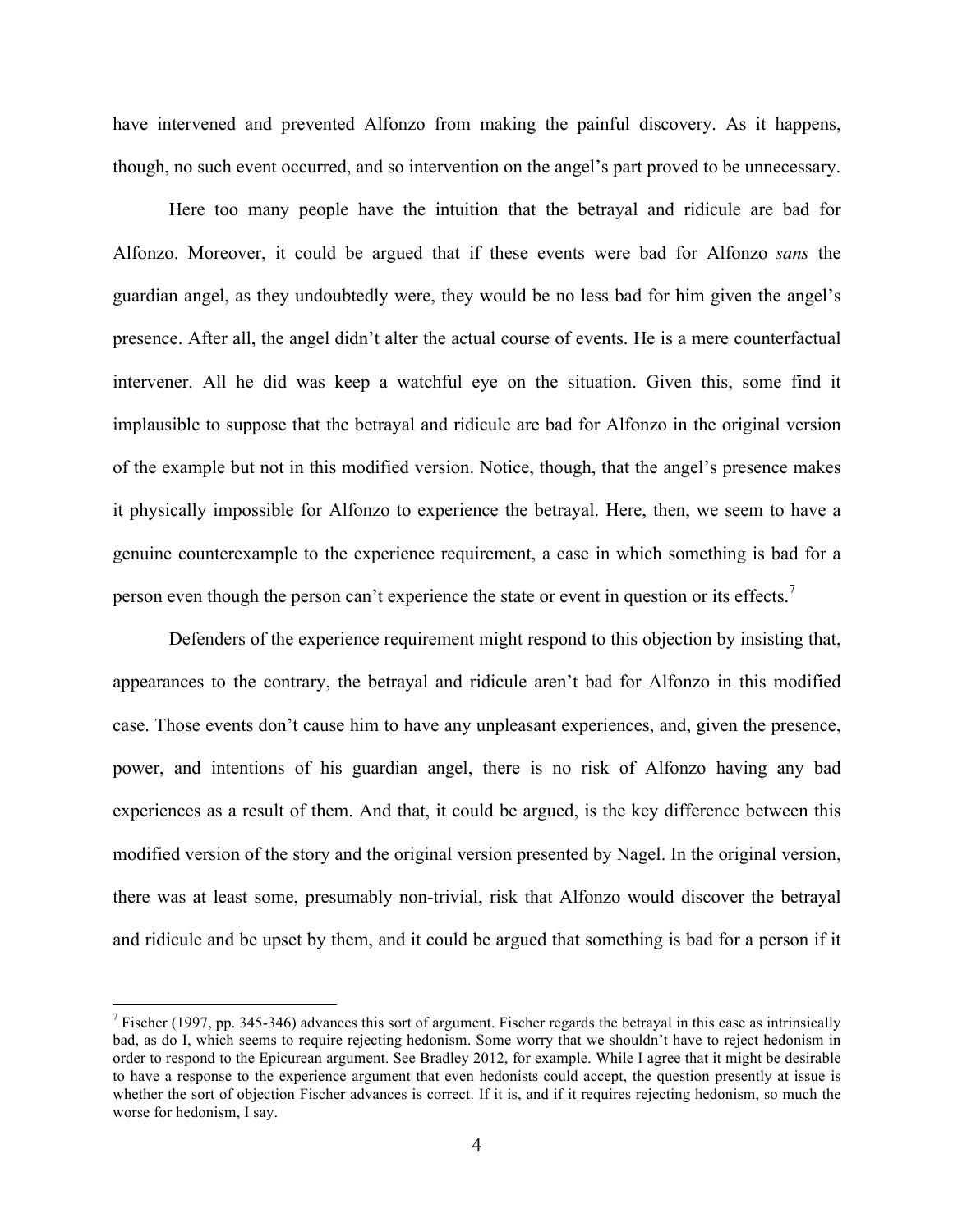have intervened and prevented Alfonzo from making the painful discovery. As it happens, though, no such event occurred, and so intervention on the angel's part proved to be unnecessary.

Here too many people have the intuition that the betrayal and ridicule are bad for Alfonzo. Moreover, it could be argued that if these events were bad for Alfonzo *sans* the guardian angel, as they undoubtedly were, they would be no less bad for him given the angel's presence. After all, the angel didn't alter the actual course of events. He is a mere counterfactual intervener. All he did was keep a watchful eye on the situation. Given this, some find it implausible to suppose that the betrayal and ridicule are bad for Alfonzo in the original version of the example but not in this modified version. Notice, though, that the angel's presence makes it physically impossible for Alfonzo to experience the betrayal. Here, then, we seem to have a genuine counterexample to the experience requirement, a case in which something is bad for a person even though the person can't experience the state or event in question or its effects.<sup>7</sup>

Defenders of the experience requirement might respond to this objection by insisting that, appearances to the contrary, the betrayal and ridicule aren't bad for Alfonzo in this modified case. Those events don't cause him to have any unpleasant experiences, and, given the presence, power, and intentions of his guardian angel, there is no risk of Alfonzo having any bad experiences as a result of them. And that, it could be argued, is the key difference between this modified version of the story and the original version presented by Nagel. In the original version, there was at least some, presumably non-trivial, risk that Alfonzo would discover the betrayal and ridicule and be upset by them, and it could be argued that something is bad for a person if it

<sup>&</sup>lt;sup>7</sup> Fischer (1997, pp. 345-346) advances this sort of argument. Fischer regards the betraval in this case as intrinsically bad, as do I, which seems to require rejecting hedonism. Some worry that we shouldn't have to reject hedonism in order to respond to the Epicurean argument. See Bradley 2012, for example. While I agree that it might be desirable to have a response to the experience argument that even hedonists could accept, the question presently at issue is whether the sort of objection Fischer advances is correct. If it is, and if it requires rejecting hedonism, so much the worse for hedonism, I say.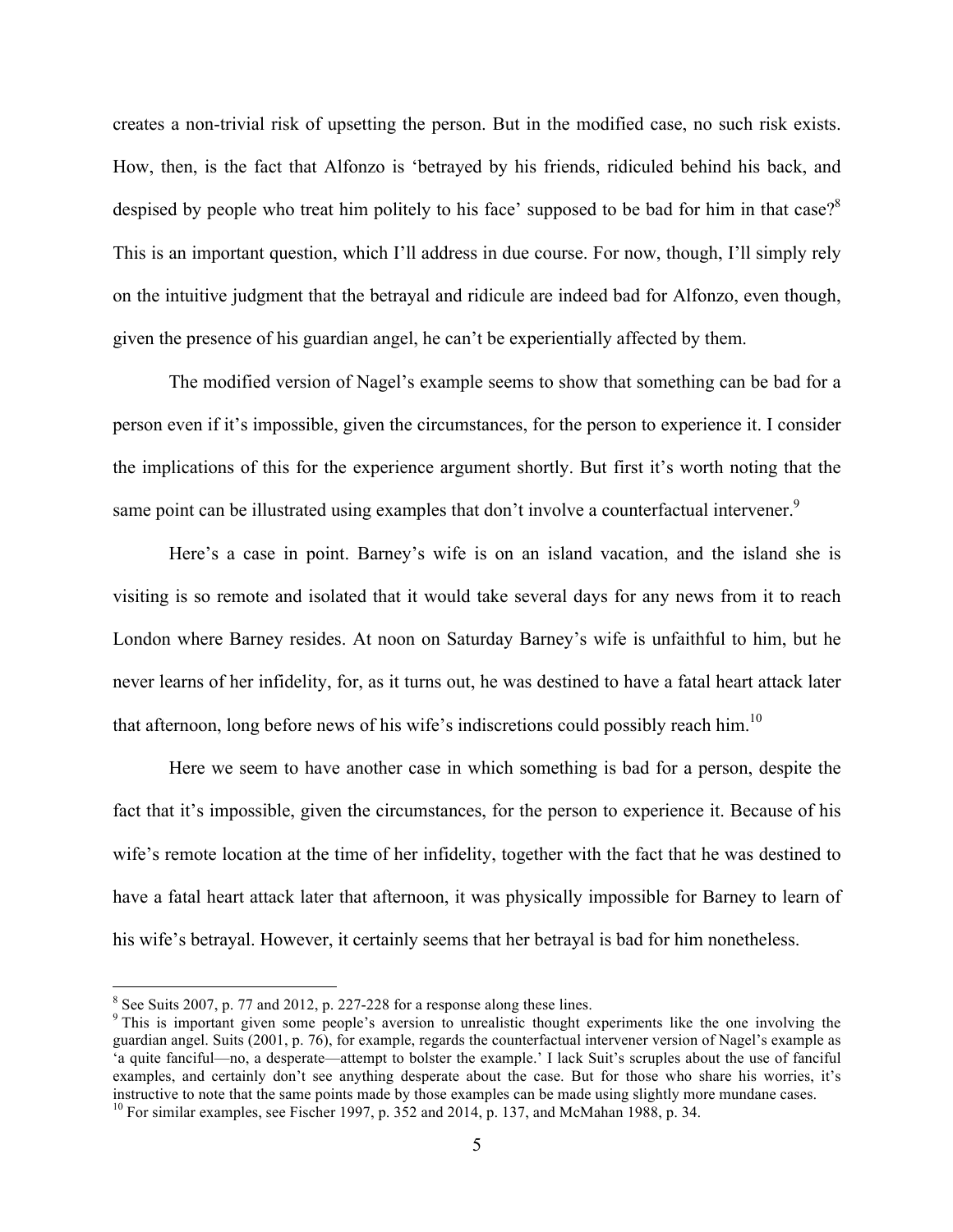creates a non-trivial risk of upsetting the person. But in the modified case, no such risk exists. How, then, is the fact that Alfonzo is 'betrayed by his friends, ridiculed behind his back, and despised by people who treat him politely to his face' supposed to be bad for him in that case?<sup>8</sup> This is an important question, which I'll address in due course. For now, though, I'll simply rely on the intuitive judgment that the betrayal and ridicule are indeed bad for Alfonzo, even though, given the presence of his guardian angel, he can't be experientially affected by them.

The modified version of Nagel's example seems to show that something can be bad for a person even if it's impossible, given the circumstances, for the person to experience it. I consider the implications of this for the experience argument shortly. But first it's worth noting that the same point can be illustrated using examples that don't involve a counterfactual intervener.<sup>9</sup>

Here's a case in point. Barney's wife is on an island vacation, and the island she is visiting is so remote and isolated that it would take several days for any news from it to reach London where Barney resides. At noon on Saturday Barney's wife is unfaithful to him, but he never learns of her infidelity, for, as it turns out, he was destined to have a fatal heart attack later that afternoon, long before news of his wife's indiscretions could possibly reach him.<sup>10</sup>

Here we seem to have another case in which something is bad for a person, despite the fact that it's impossible, given the circumstances, for the person to experience it. Because of his wife's remote location at the time of her infidelity, together with the fact that he was destined to have a fatal heart attack later that afternoon, it was physically impossible for Barney to learn of his wife's betrayal. However, it certainly seems that her betrayal is bad for him nonetheless.

<sup>&</sup>lt;sup>8</sup> See Suits 2007, p. 77 and 2012, p. 227-228 for a response along these lines.<br><sup>9</sup> This is important given some people's aversion to unrealistic thought experiments like the one involving the guardian angel. Suits (2001, p. 76), for example, regards the counterfactual intervener version of Nagel's example as 'a quite fanciful—no, a desperate—attempt to bolster the example.' I lack Suit's scruples about the use of fanciful examples, and certainly don't see anything desperate about the case. But for those who share his worries, it's instructive to note that the same points made by those examples can be made using slightly more mundane cases.

 $10$  For similar examples, see Fischer 1997, p. 352 and 2014, p. 137, and McMahan 1988, p. 34.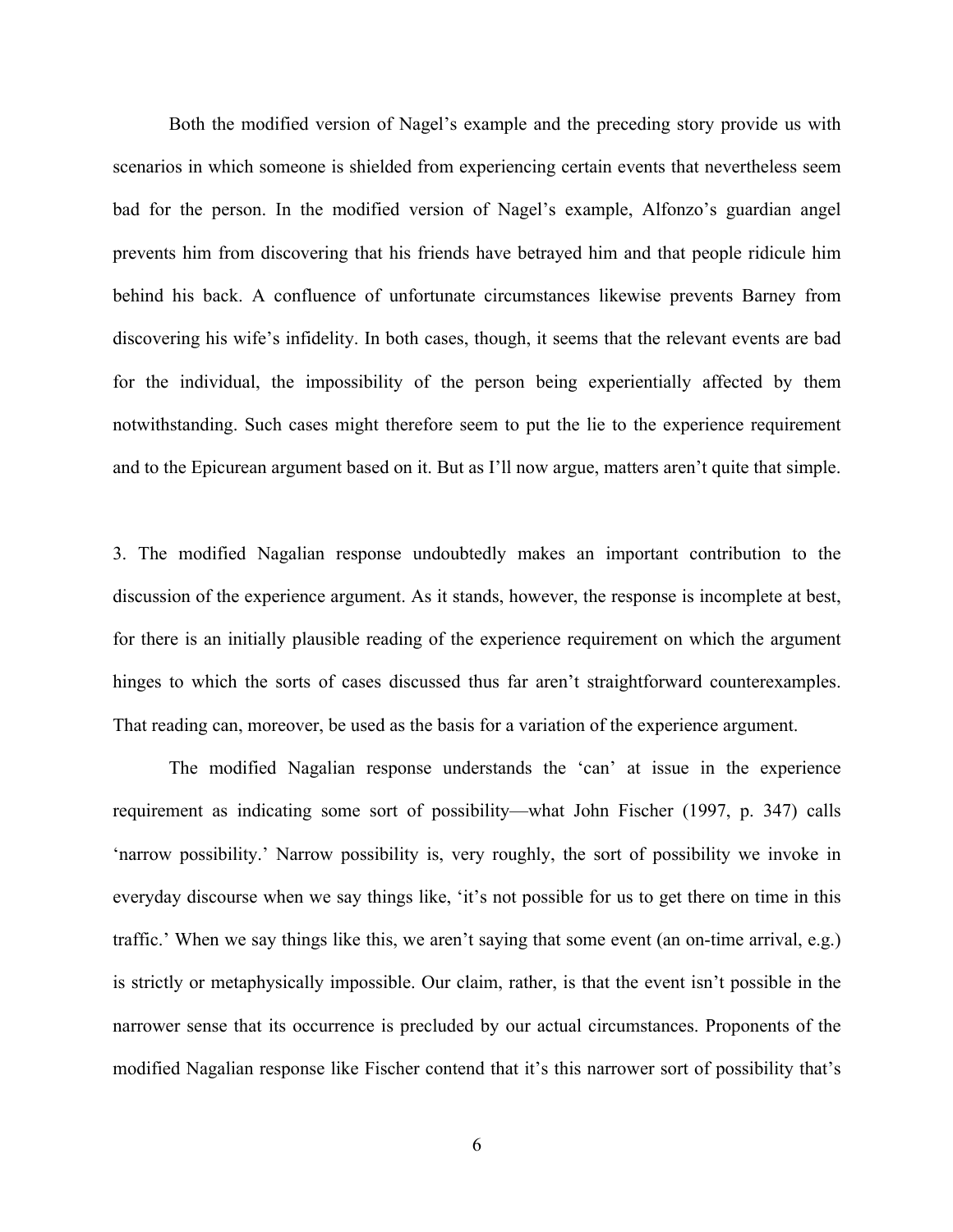Both the modified version of Nagel's example and the preceding story provide us with scenarios in which someone is shielded from experiencing certain events that nevertheless seem bad for the person. In the modified version of Nagel's example, Alfonzo's guardian angel prevents him from discovering that his friends have betrayed him and that people ridicule him behind his back. A confluence of unfortunate circumstances likewise prevents Barney from discovering his wife's infidelity. In both cases, though, it seems that the relevant events are bad for the individual, the impossibility of the person being experientially affected by them notwithstanding. Such cases might therefore seem to put the lie to the experience requirement and to the Epicurean argument based on it. But as I'll now argue, matters aren't quite that simple.

3. The modified Nagalian response undoubtedly makes an important contribution to the discussion of the experience argument. As it stands, however, the response is incomplete at best, for there is an initially plausible reading of the experience requirement on which the argument hinges to which the sorts of cases discussed thus far aren't straightforward counterexamples. That reading can, moreover, be used as the basis for a variation of the experience argument.

The modified Nagalian response understands the 'can' at issue in the experience requirement as indicating some sort of possibility—what John Fischer (1997, p. 347) calls 'narrow possibility.' Narrow possibility is, very roughly, the sort of possibility we invoke in everyday discourse when we say things like, 'it's not possible for us to get there on time in this traffic.' When we say things like this, we aren't saying that some event (an on-time arrival, e.g.) is strictly or metaphysically impossible. Our claim, rather, is that the event isn't possible in the narrower sense that its occurrence is precluded by our actual circumstances. Proponents of the modified Nagalian response like Fischer contend that it's this narrower sort of possibility that's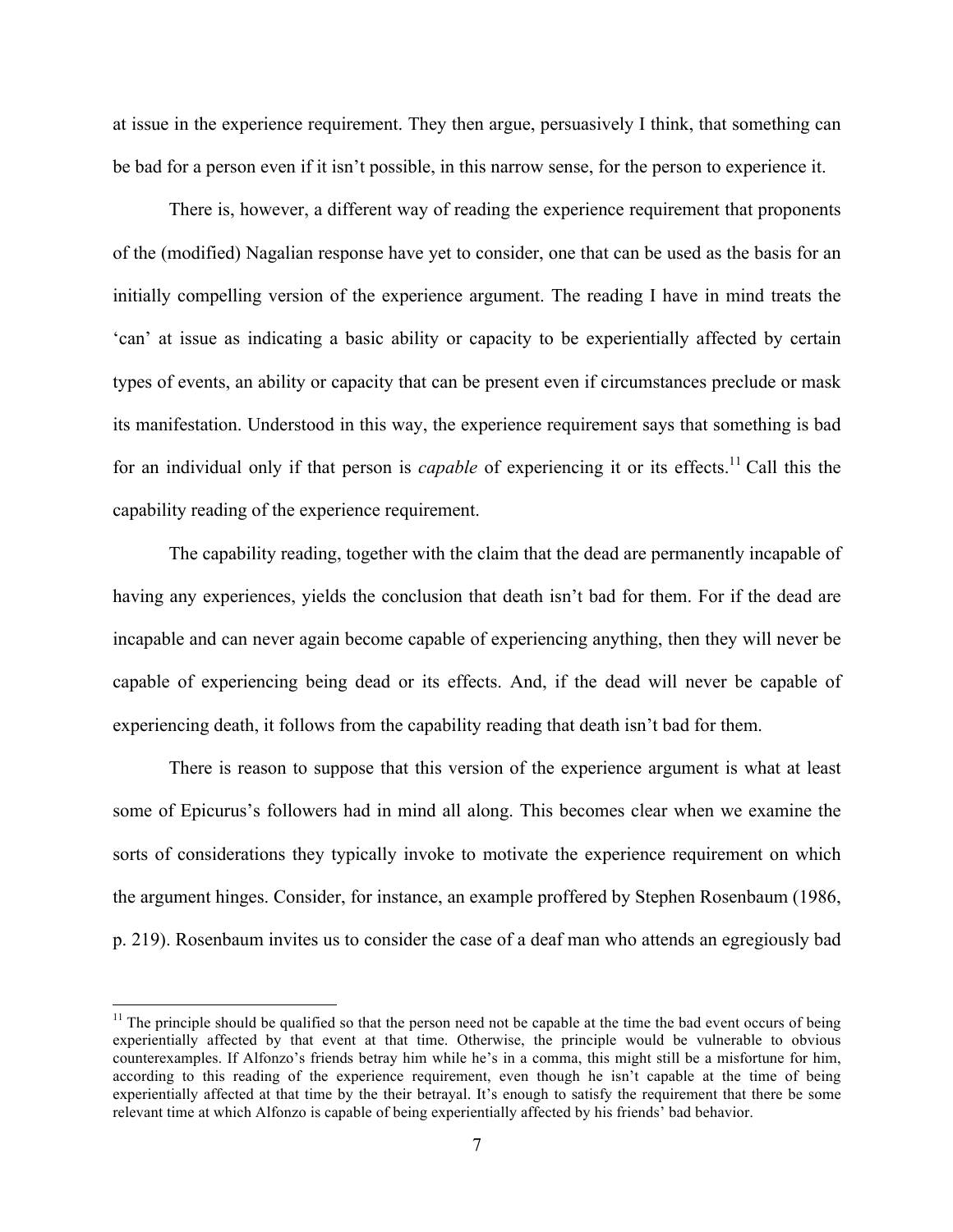at issue in the experience requirement. They then argue, persuasively I think, that something can be bad for a person even if it isn't possible, in this narrow sense, for the person to experience it.

There is, however, a different way of reading the experience requirement that proponents of the (modified) Nagalian response have yet to consider, one that can be used as the basis for an initially compelling version of the experience argument. The reading I have in mind treats the 'can' at issue as indicating a basic ability or capacity to be experientially affected by certain types of events, an ability or capacity that can be present even if circumstances preclude or mask its manifestation. Understood in this way, the experience requirement says that something is bad for an individual only if that person is *capable* of experiencing it or its effects.<sup>11</sup> Call this the capability reading of the experience requirement.

The capability reading, together with the claim that the dead are permanently incapable of having any experiences, yields the conclusion that death isn't bad for them. For if the dead are incapable and can never again become capable of experiencing anything, then they will never be capable of experiencing being dead or its effects. And, if the dead will never be capable of experiencing death, it follows from the capability reading that death isn't bad for them.

There is reason to suppose that this version of the experience argument is what at least some of Epicurus's followers had in mind all along. This becomes clear when we examine the sorts of considerations they typically invoke to motivate the experience requirement on which the argument hinges. Consider, for instance, an example proffered by Stephen Rosenbaum (1986, p. 219). Rosenbaum invites us to consider the case of a deaf man who attends an egregiously bad

 $11$  The principle should be qualified so that the person need not be capable at the time the bad event occurs of being experientially affected by that event at that time. Otherwise, the principle would be vulnerable to obvious counterexamples. If Alfonzo's friends betray him while he's in a comma, this might still be a misfortune for him, according to this reading of the experience requirement, even though he isn't capable at the time of being experientially affected at that time by the their betrayal. It's enough to satisfy the requirement that there be some relevant time at which Alfonzo is capable of being experientially affected by his friends' bad behavior.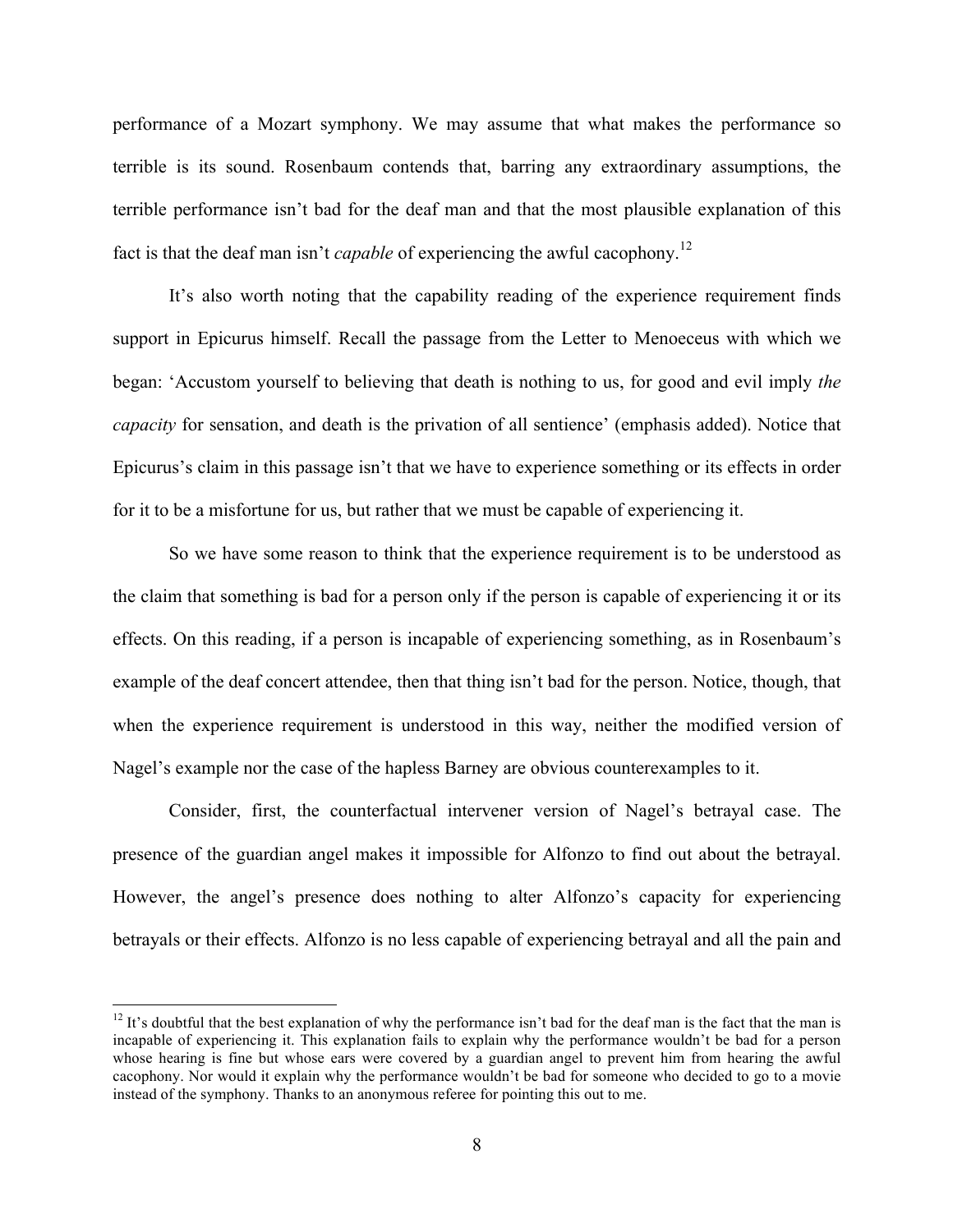performance of a Mozart symphony. We may assume that what makes the performance so terrible is its sound. Rosenbaum contends that, barring any extraordinary assumptions, the terrible performance isn't bad for the deaf man and that the most plausible explanation of this fact is that the deaf man isn't *capable* of experiencing the awful cacophony.<sup>12</sup>

It's also worth noting that the capability reading of the experience requirement finds support in Epicurus himself. Recall the passage from the Letter to Menoeceus with which we began: 'Accustom yourself to believing that death is nothing to us, for good and evil imply *the capacity* for sensation, and death is the privation of all sentience' (emphasis added). Notice that Epicurus's claim in this passage isn't that we have to experience something or its effects in order for it to be a misfortune for us, but rather that we must be capable of experiencing it.

So we have some reason to think that the experience requirement is to be understood as the claim that something is bad for a person only if the person is capable of experiencing it or its effects. On this reading, if a person is incapable of experiencing something, as in Rosenbaum's example of the deaf concert attendee, then that thing isn't bad for the person. Notice, though, that when the experience requirement is understood in this way, neither the modified version of Nagel's example nor the case of the hapless Barney are obvious counterexamples to it.

Consider, first, the counterfactual intervener version of Nagel's betrayal case. The presence of the guardian angel makes it impossible for Alfonzo to find out about the betrayal. However, the angel's presence does nothing to alter Alfonzo's capacity for experiencing betrayals or their effects. Alfonzo is no less capable of experiencing betrayal and all the pain and

<sup>&</sup>lt;sup>12</sup> It's doubtful that the best explanation of why the performance isn't bad for the deaf man is the fact that the man is incapable of experiencing it. This explanation fails to explain why the performance wouldn't be bad for a person whose hearing is fine but whose ears were covered by a guardian angel to prevent him from hearing the awful cacophony. Nor would it explain why the performance wouldn't be bad for someone who decided to go to a movie instead of the symphony. Thanks to an anonymous referee for pointing this out to me.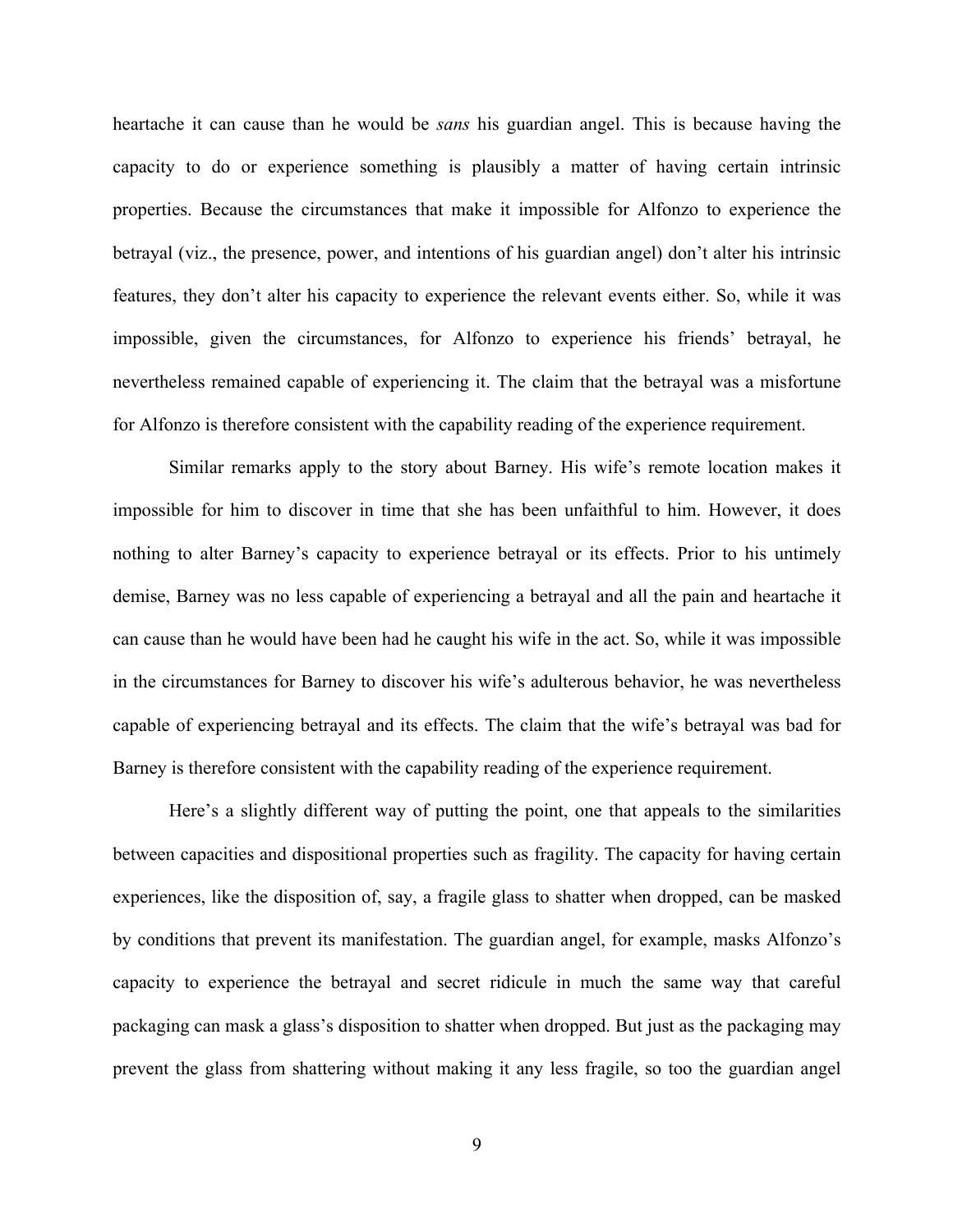heartache it can cause than he would be *sans* his guardian angel. This is because having the capacity to do or experience something is plausibly a matter of having certain intrinsic properties. Because the circumstances that make it impossible for Alfonzo to experience the betrayal (viz., the presence, power, and intentions of his guardian angel) don't alter his intrinsic features, they don't alter his capacity to experience the relevant events either. So, while it was impossible, given the circumstances, for Alfonzo to experience his friends' betrayal, he nevertheless remained capable of experiencing it. The claim that the betrayal was a misfortune for Alfonzo is therefore consistent with the capability reading of the experience requirement.

Similar remarks apply to the story about Barney. His wife's remote location makes it impossible for him to discover in time that she has been unfaithful to him. However, it does nothing to alter Barney's capacity to experience betrayal or its effects. Prior to his untimely demise, Barney was no less capable of experiencing a betrayal and all the pain and heartache it can cause than he would have been had he caught his wife in the act. So, while it was impossible in the circumstances for Barney to discover his wife's adulterous behavior, he was nevertheless capable of experiencing betrayal and its effects. The claim that the wife's betrayal was bad for Barney is therefore consistent with the capability reading of the experience requirement.

Here's a slightly different way of putting the point, one that appeals to the similarities between capacities and dispositional properties such as fragility. The capacity for having certain experiences, like the disposition of, say, a fragile glass to shatter when dropped, can be masked by conditions that prevent its manifestation. The guardian angel, for example, masks Alfonzo's capacity to experience the betrayal and secret ridicule in much the same way that careful packaging can mask a glass's disposition to shatter when dropped. But just as the packaging may prevent the glass from shattering without making it any less fragile, so too the guardian angel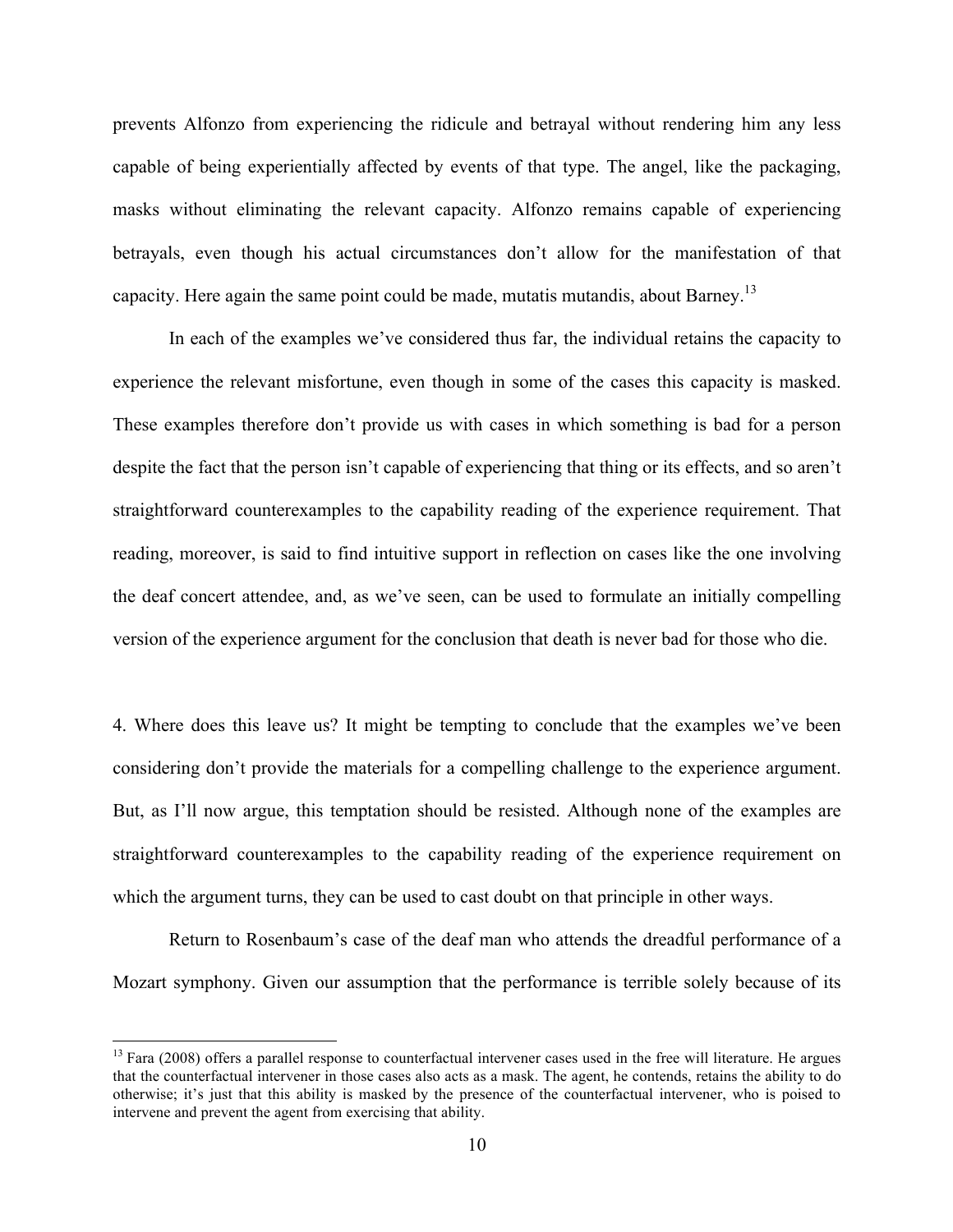prevents Alfonzo from experiencing the ridicule and betrayal without rendering him any less capable of being experientially affected by events of that type. The angel, like the packaging, masks without eliminating the relevant capacity. Alfonzo remains capable of experiencing betrayals, even though his actual circumstances don't allow for the manifestation of that capacity. Here again the same point could be made, mutatis mutandis, about Barney.<sup>13</sup>

In each of the examples we've considered thus far, the individual retains the capacity to experience the relevant misfortune, even though in some of the cases this capacity is masked. These examples therefore don't provide us with cases in which something is bad for a person despite the fact that the person isn't capable of experiencing that thing or its effects, and so aren't straightforward counterexamples to the capability reading of the experience requirement. That reading, moreover, is said to find intuitive support in reflection on cases like the one involving the deaf concert attendee, and, as we've seen, can be used to formulate an initially compelling version of the experience argument for the conclusion that death is never bad for those who die.

4. Where does this leave us? It might be tempting to conclude that the examples we've been considering don't provide the materials for a compelling challenge to the experience argument. But, as I'll now argue, this temptation should be resisted. Although none of the examples are straightforward counterexamples to the capability reading of the experience requirement on which the argument turns, they can be used to cast doubt on that principle in other ways.

Return to Rosenbaum's case of the deaf man who attends the dreadful performance of a Mozart symphony. Given our assumption that the performance is terrible solely because of its

 $13$  Fara (2008) offers a parallel response to counterfactual intervener cases used in the free will literature. He argues that the counterfactual intervener in those cases also acts as a mask. The agent, he contends, retains the ability to do otherwise; it's just that this ability is masked by the presence of the counterfactual intervener, who is poised to intervene and prevent the agent from exercising that ability.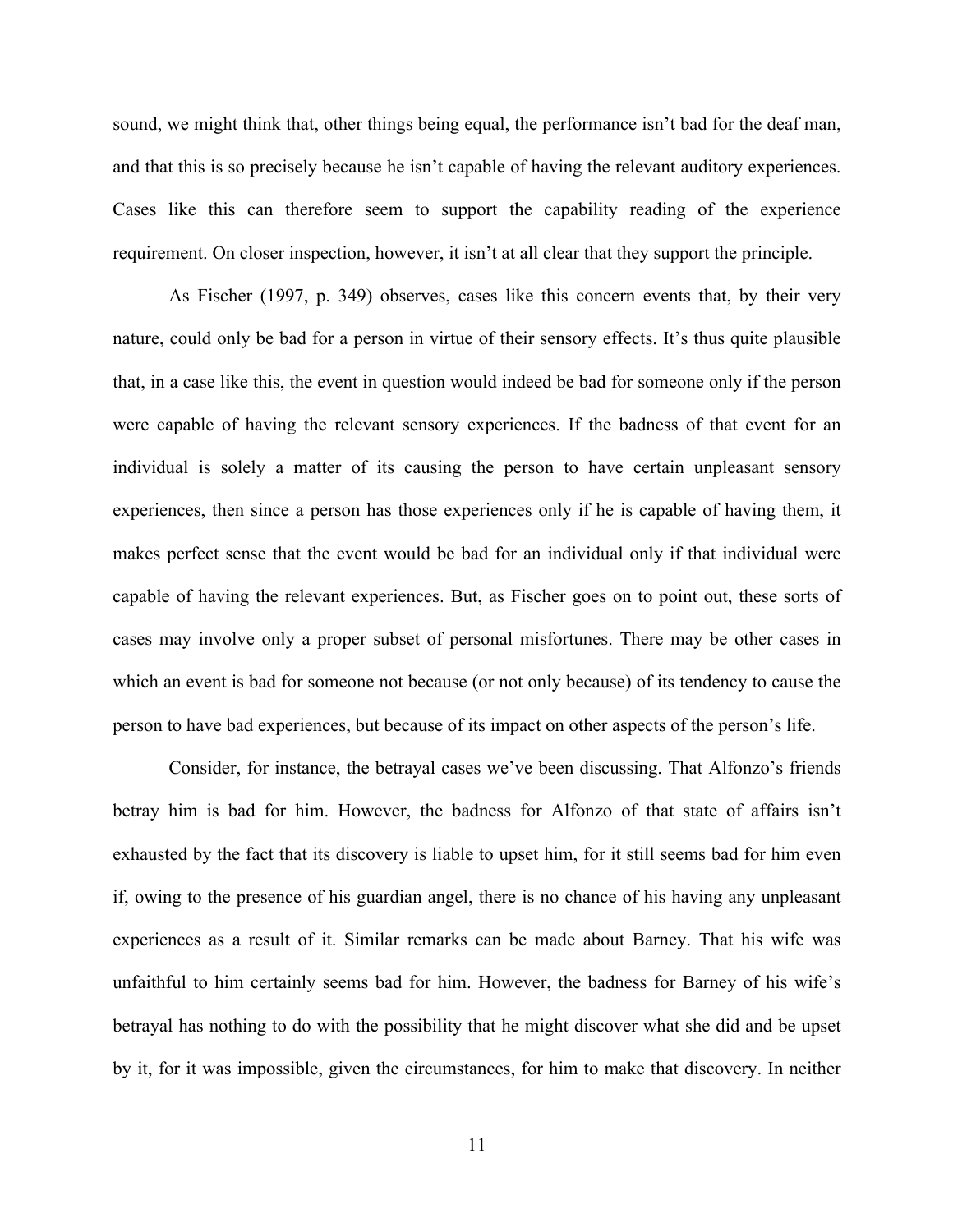sound, we might think that, other things being equal, the performance isn't bad for the deaf man, and that this is so precisely because he isn't capable of having the relevant auditory experiences. Cases like this can therefore seem to support the capability reading of the experience requirement. On closer inspection, however, it isn't at all clear that they support the principle.

As Fischer (1997, p. 349) observes, cases like this concern events that, by their very nature, could only be bad for a person in virtue of their sensory effects. It's thus quite plausible that, in a case like this, the event in question would indeed be bad for someone only if the person were capable of having the relevant sensory experiences. If the badness of that event for an individual is solely a matter of its causing the person to have certain unpleasant sensory experiences, then since a person has those experiences only if he is capable of having them, it makes perfect sense that the event would be bad for an individual only if that individual were capable of having the relevant experiences. But, as Fischer goes on to point out, these sorts of cases may involve only a proper subset of personal misfortunes. There may be other cases in which an event is bad for someone not because (or not only because) of its tendency to cause the person to have bad experiences, but because of its impact on other aspects of the person's life.

Consider, for instance, the betrayal cases we've been discussing. That Alfonzo's friends betray him is bad for him. However, the badness for Alfonzo of that state of affairs isn't exhausted by the fact that its discovery is liable to upset him, for it still seems bad for him even if, owing to the presence of his guardian angel, there is no chance of his having any unpleasant experiences as a result of it. Similar remarks can be made about Barney. That his wife was unfaithful to him certainly seems bad for him. However, the badness for Barney of his wife's betrayal has nothing to do with the possibility that he might discover what she did and be upset by it, for it was impossible, given the circumstances, for him to make that discovery. In neither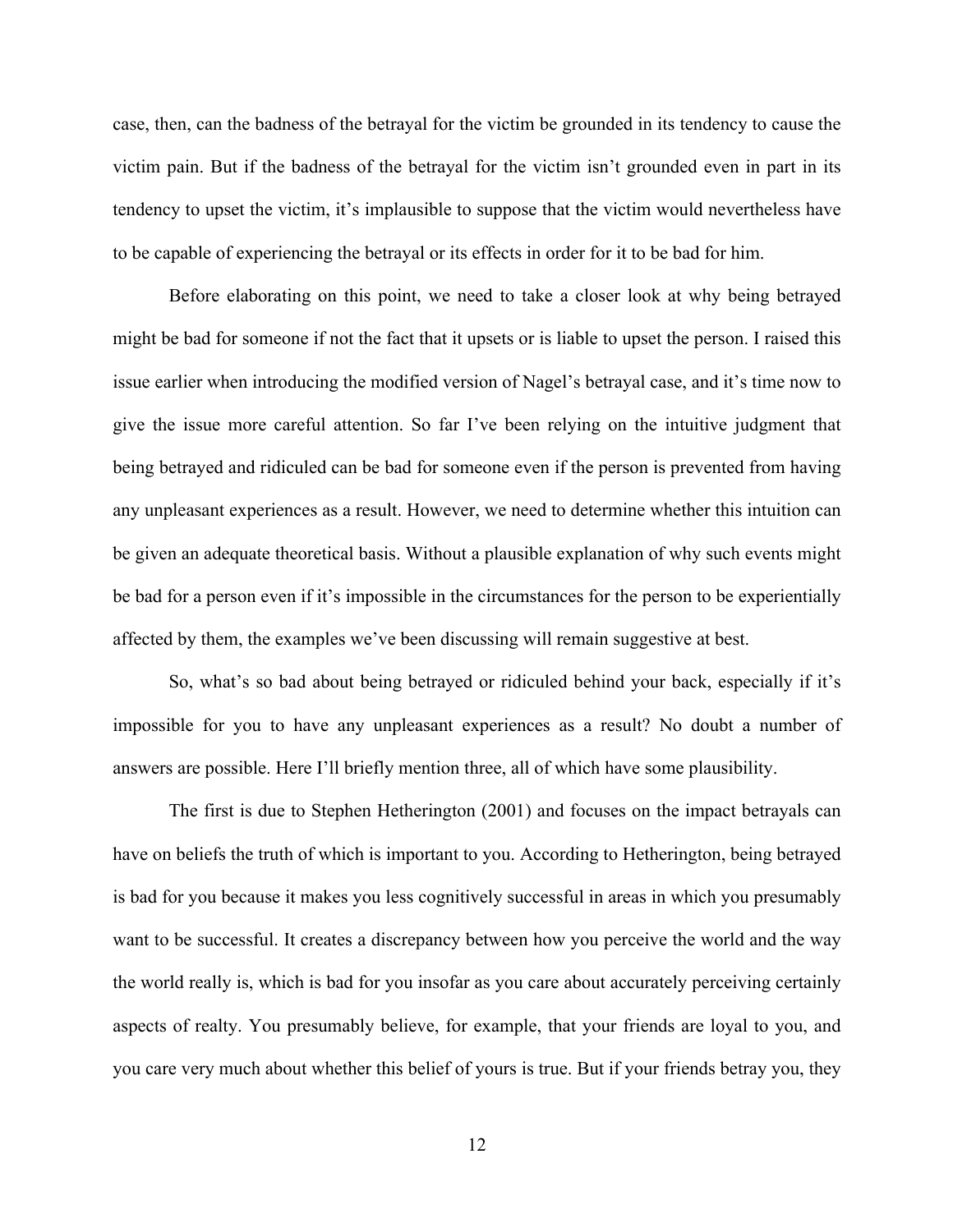case, then, can the badness of the betrayal for the victim be grounded in its tendency to cause the victim pain. But if the badness of the betrayal for the victim isn't grounded even in part in its tendency to upset the victim, it's implausible to suppose that the victim would nevertheless have to be capable of experiencing the betrayal or its effects in order for it to be bad for him.

Before elaborating on this point, we need to take a closer look at why being betrayed might be bad for someone if not the fact that it upsets or is liable to upset the person. I raised this issue earlier when introducing the modified version of Nagel's betrayal case, and it's time now to give the issue more careful attention. So far I've been relying on the intuitive judgment that being betrayed and ridiculed can be bad for someone even if the person is prevented from having any unpleasant experiences as a result. However, we need to determine whether this intuition can be given an adequate theoretical basis. Without a plausible explanation of why such events might be bad for a person even if it's impossible in the circumstances for the person to be experientially affected by them, the examples we've been discussing will remain suggestive at best.

So, what's so bad about being betrayed or ridiculed behind your back, especially if it's impossible for you to have any unpleasant experiences as a result? No doubt a number of answers are possible. Here I'll briefly mention three, all of which have some plausibility.

The first is due to Stephen Hetherington (2001) and focuses on the impact betrayals can have on beliefs the truth of which is important to you. According to Hetherington, being betrayed is bad for you because it makes you less cognitively successful in areas in which you presumably want to be successful. It creates a discrepancy between how you perceive the world and the way the world really is, which is bad for you insofar as you care about accurately perceiving certainly aspects of realty. You presumably believe, for example, that your friends are loyal to you, and you care very much about whether this belief of yours is true. But if your friends betray you, they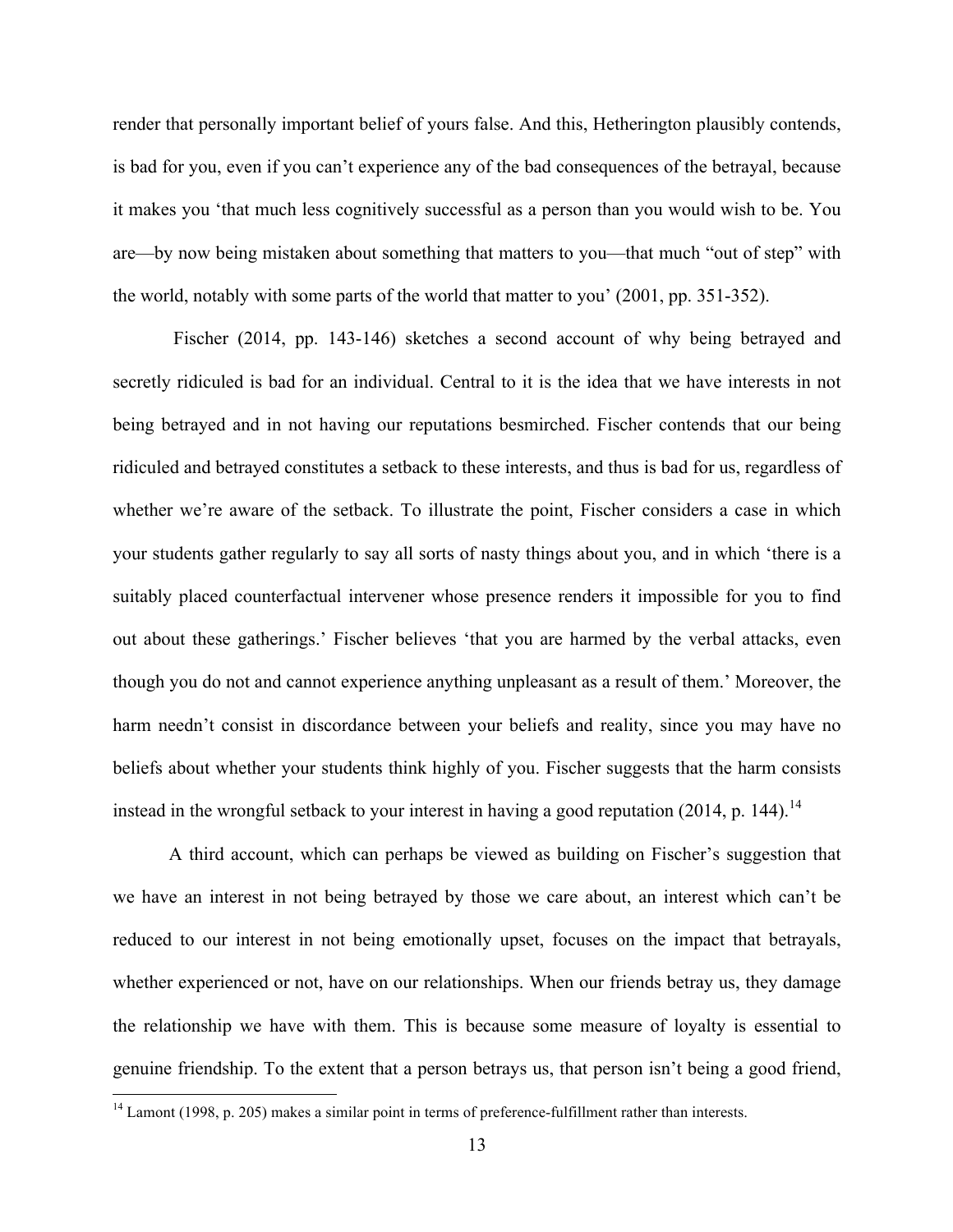render that personally important belief of yours false. And this, Hetherington plausibly contends, is bad for you, even if you can't experience any of the bad consequences of the betrayal, because it makes you 'that much less cognitively successful as a person than you would wish to be. You are—by now being mistaken about something that matters to you—that much "out of step" with the world, notably with some parts of the world that matter to you' (2001, pp. 351-352).

Fischer (2014, pp. 143-146) sketches a second account of why being betrayed and secretly ridiculed is bad for an individual. Central to it is the idea that we have interests in not being betrayed and in not having our reputations besmirched. Fischer contends that our being ridiculed and betrayed constitutes a setback to these interests, and thus is bad for us, regardless of whether we're aware of the setback. To illustrate the point, Fischer considers a case in which your students gather regularly to say all sorts of nasty things about you, and in which 'there is a suitably placed counterfactual intervener whose presence renders it impossible for you to find out about these gatherings.' Fischer believes 'that you are harmed by the verbal attacks, even though you do not and cannot experience anything unpleasant as a result of them.' Moreover, the harm needn't consist in discordance between your beliefs and reality, since you may have no beliefs about whether your students think highly of you. Fischer suggests that the harm consists instead in the wrongful setback to your interest in having a good reputation  $(2014, p. 144)$ .<sup>14</sup>

A third account, which can perhaps be viewed as building on Fischer's suggestion that we have an interest in not being betrayed by those we care about, an interest which can't be reduced to our interest in not being emotionally upset, focuses on the impact that betrayals, whether experienced or not, have on our relationships. When our friends betray us, they damage the relationship we have with them. This is because some measure of loyalty is essential to genuine friendship. To the extent that a person betrays us, that person isn't being a good friend,

<sup>&</sup>lt;sup>14</sup> Lamont (1998, p. 205) makes a similar point in terms of preference-fulfillment rather than interests.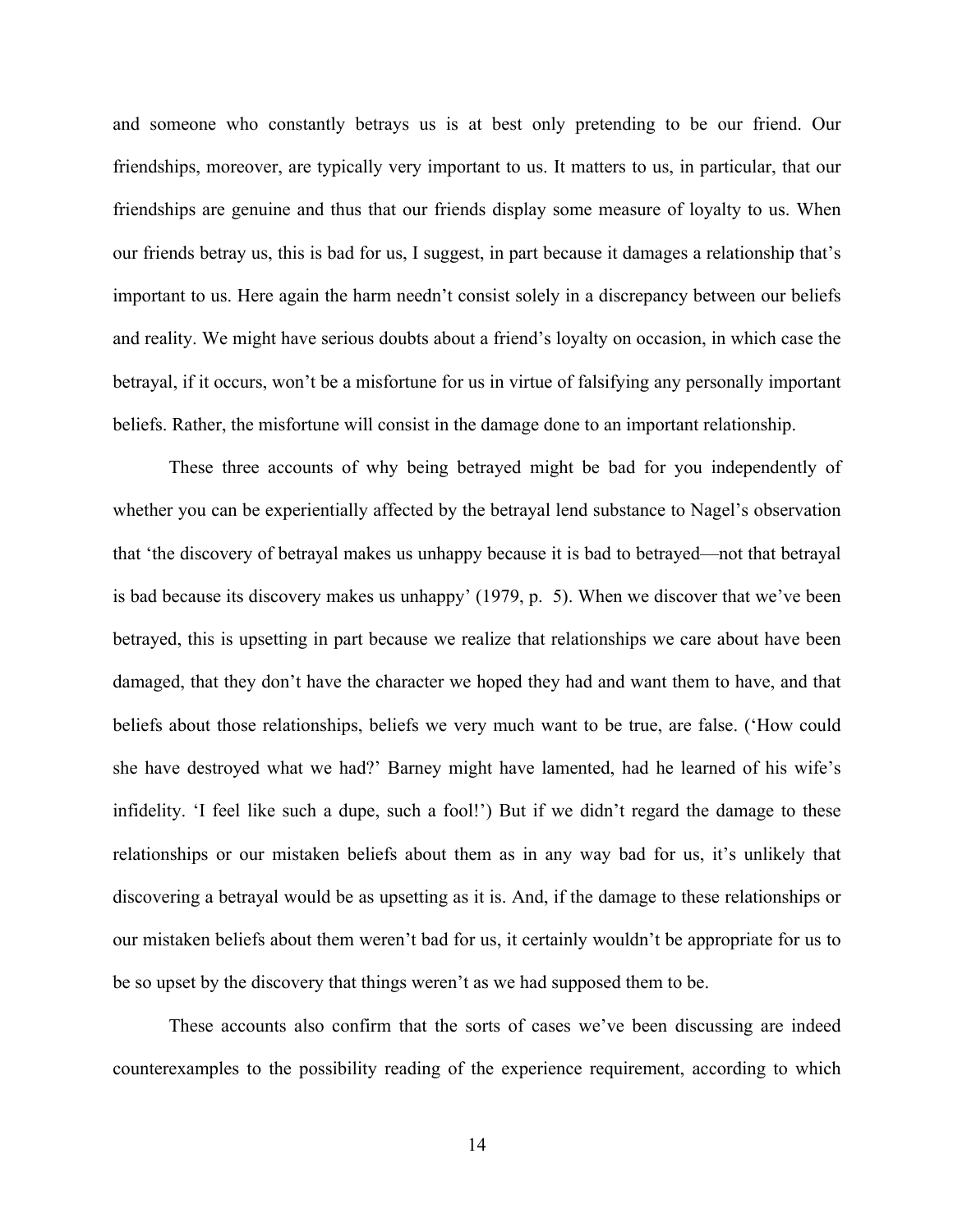and someone who constantly betrays us is at best only pretending to be our friend. Our friendships, moreover, are typically very important to us. It matters to us, in particular, that our friendships are genuine and thus that our friends display some measure of loyalty to us. When our friends betray us, this is bad for us, I suggest, in part because it damages a relationship that's important to us. Here again the harm needn't consist solely in a discrepancy between our beliefs and reality. We might have serious doubts about a friend's loyalty on occasion, in which case the betrayal, if it occurs, won't be a misfortune for us in virtue of falsifying any personally important beliefs. Rather, the misfortune will consist in the damage done to an important relationship.

These three accounts of why being betrayed might be bad for you independently of whether you can be experientially affected by the betrayal lend substance to Nagel's observation that 'the discovery of betrayal makes us unhappy because it is bad to betrayed—not that betrayal is bad because its discovery makes us unhappy' (1979, p. 5). When we discover that we've been betrayed, this is upsetting in part because we realize that relationships we care about have been damaged, that they don't have the character we hoped they had and want them to have, and that beliefs about those relationships, beliefs we very much want to be true, are false. ('How could she have destroyed what we had?' Barney might have lamented, had he learned of his wife's infidelity. 'I feel like such a dupe, such a fool!') But if we didn't regard the damage to these relationships or our mistaken beliefs about them as in any way bad for us, it's unlikely that discovering a betrayal would be as upsetting as it is. And, if the damage to these relationships or our mistaken beliefs about them weren't bad for us, it certainly wouldn't be appropriate for us to be so upset by the discovery that things weren't as we had supposed them to be.

These accounts also confirm that the sorts of cases we've been discussing are indeed counterexamples to the possibility reading of the experience requirement, according to which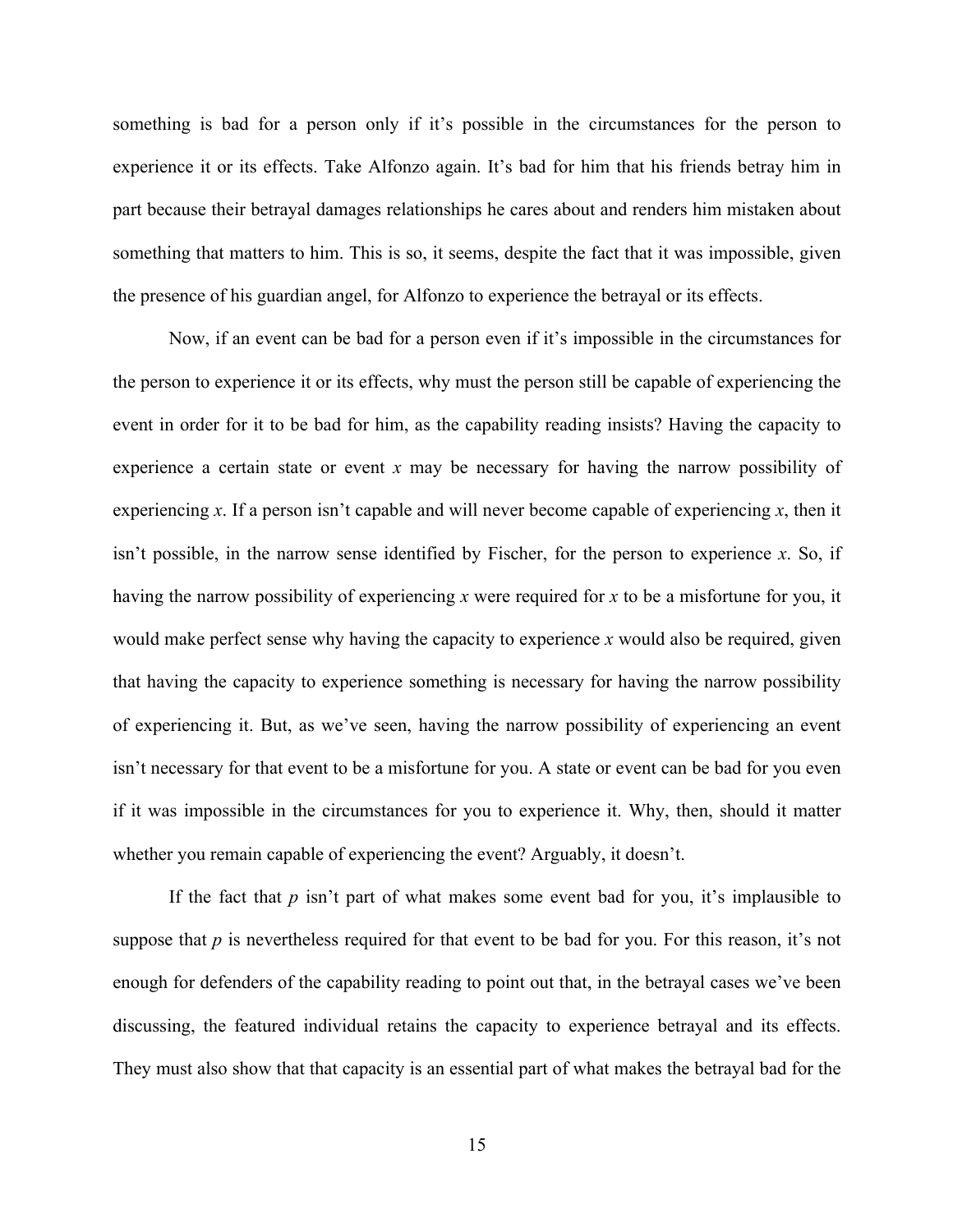something is bad for a person only if it's possible in the circumstances for the person to experience it or its effects. Take Alfonzo again. It's bad for him that his friends betray him in part because their betrayal damages relationships he cares about and renders him mistaken about something that matters to him. This is so, it seems, despite the fact that it was impossible, given the presence of his guardian angel, for Alfonzo to experience the betrayal or its effects.

Now, if an event can be bad for a person even if it's impossible in the circumstances for the person to experience it or its effects, why must the person still be capable of experiencing the event in order for it to be bad for him, as the capability reading insists? Having the capacity to experience a certain state or event *x* may be necessary for having the narrow possibility of experiencing *x*. If a person isn't capable and will never become capable of experiencing *x*, then it isn't possible, in the narrow sense identified by Fischer, for the person to experience *x*. So, if having the narrow possibility of experiencing *x* were required for *x* to be a misfortune for you, it would make perfect sense why having the capacity to experience *x* would also be required, given that having the capacity to experience something is necessary for having the narrow possibility of experiencing it. But, as we've seen, having the narrow possibility of experiencing an event isn't necessary for that event to be a misfortune for you. A state or event can be bad for you even if it was impossible in the circumstances for you to experience it. Why, then, should it matter whether you remain capable of experiencing the event? Arguably, it doesn't.

If the fact that *p* isn't part of what makes some event bad for you, it's implausible to suppose that *p* is nevertheless required for that event to be bad for you. For this reason, it's not enough for defenders of the capability reading to point out that, in the betrayal cases we've been discussing, the featured individual retains the capacity to experience betrayal and its effects. They must also show that that capacity is an essential part of what makes the betrayal bad for the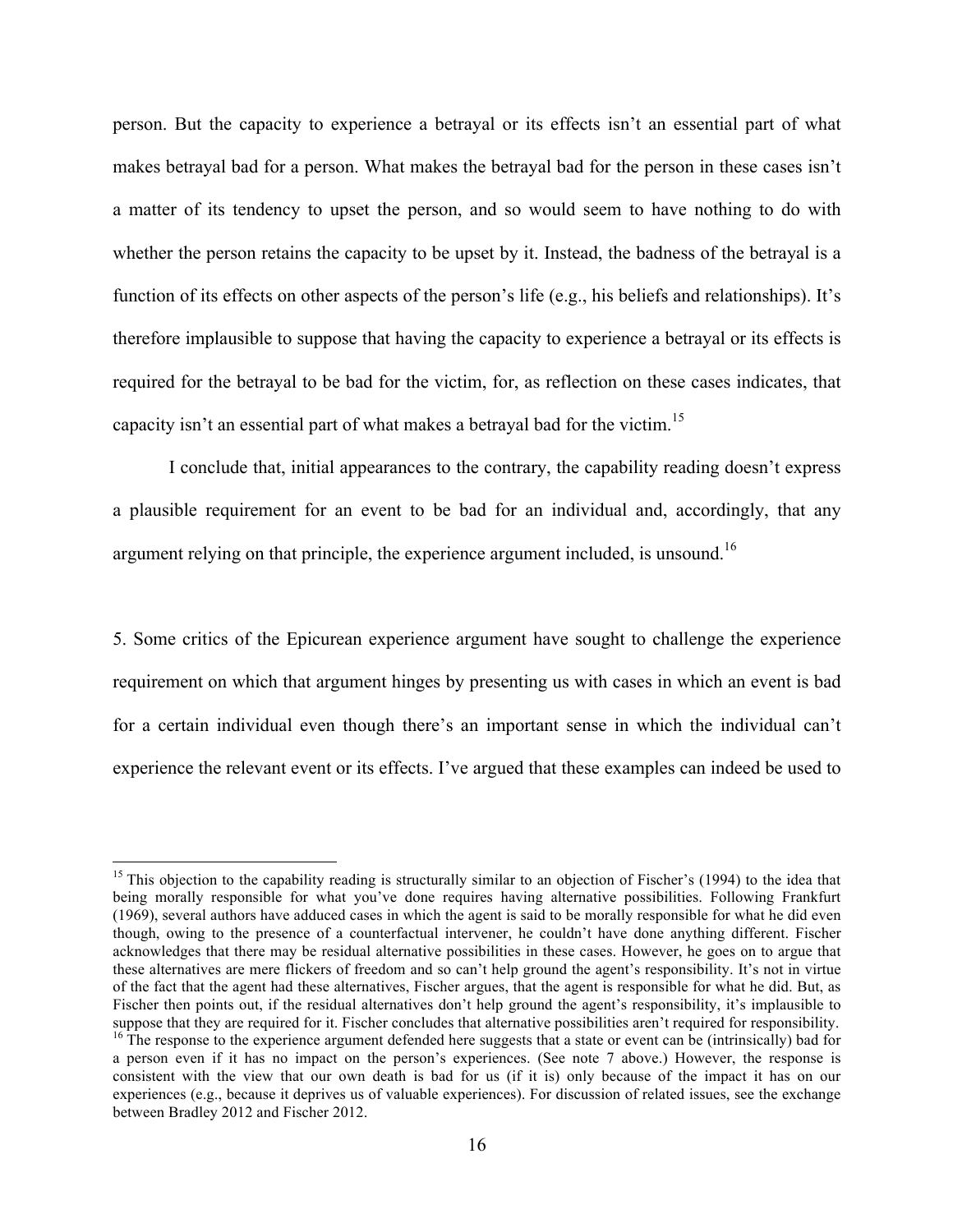person. But the capacity to experience a betrayal or its effects isn't an essential part of what makes betrayal bad for a person. What makes the betrayal bad for the person in these cases isn't a matter of its tendency to upset the person, and so would seem to have nothing to do with whether the person retains the capacity to be upset by it. Instead, the badness of the betrayal is a function of its effects on other aspects of the person's life (e.g., his beliefs and relationships). It's therefore implausible to suppose that having the capacity to experience a betrayal or its effects is required for the betrayal to be bad for the victim, for, as reflection on these cases indicates, that capacity isn't an essential part of what makes a betrayal bad for the victim.<sup>15</sup>

I conclude that, initial appearances to the contrary, the capability reading doesn't express a plausible requirement for an event to be bad for an individual and, accordingly, that any argument relying on that principle, the experience argument included, is unsound.<sup>16</sup>

5. Some critics of the Epicurean experience argument have sought to challenge the experience requirement on which that argument hinges by presenting us with cases in which an event is bad for a certain individual even though there's an important sense in which the individual can't experience the relevant event or its effects. I've argued that these examples can indeed be used to

 $15$  This objection to the capability reading is structurally similar to an objection of Fischer's (1994) to the idea that being morally responsible for what you've done requires having alternative possibilities. Following Frankfurt (1969), several authors have adduced cases in which the agent is said to be morally responsible for what he did even though, owing to the presence of a counterfactual intervener, he couldn't have done anything different. Fischer acknowledges that there may be residual alternative possibilities in these cases. However, he goes on to argue that these alternatives are mere flickers of freedom and so can't help ground the agent's responsibility. It's not in virtue of the fact that the agent had these alternatives, Fischer argues, that the agent is responsible for what he did. But, as Fischer then points out, if the residual alternatives don't help ground the agent's responsibility, it's implausible to suppose that they are required for it. Fischer concludes that alternative possibilities aren't required for responsibility.<br><sup>16</sup> The response to the experience argument defended here suggests that a state or event can be (

a person even if it has no impact on the person's experiences. (See note 7 above.) However, the response is consistent with the view that our own death is bad for us (if it is) only because of the impact it has on our experiences (e.g., because it deprives us of valuable experiences). For discussion of related issues, see the exchange between Bradley 2012 and Fischer 2012.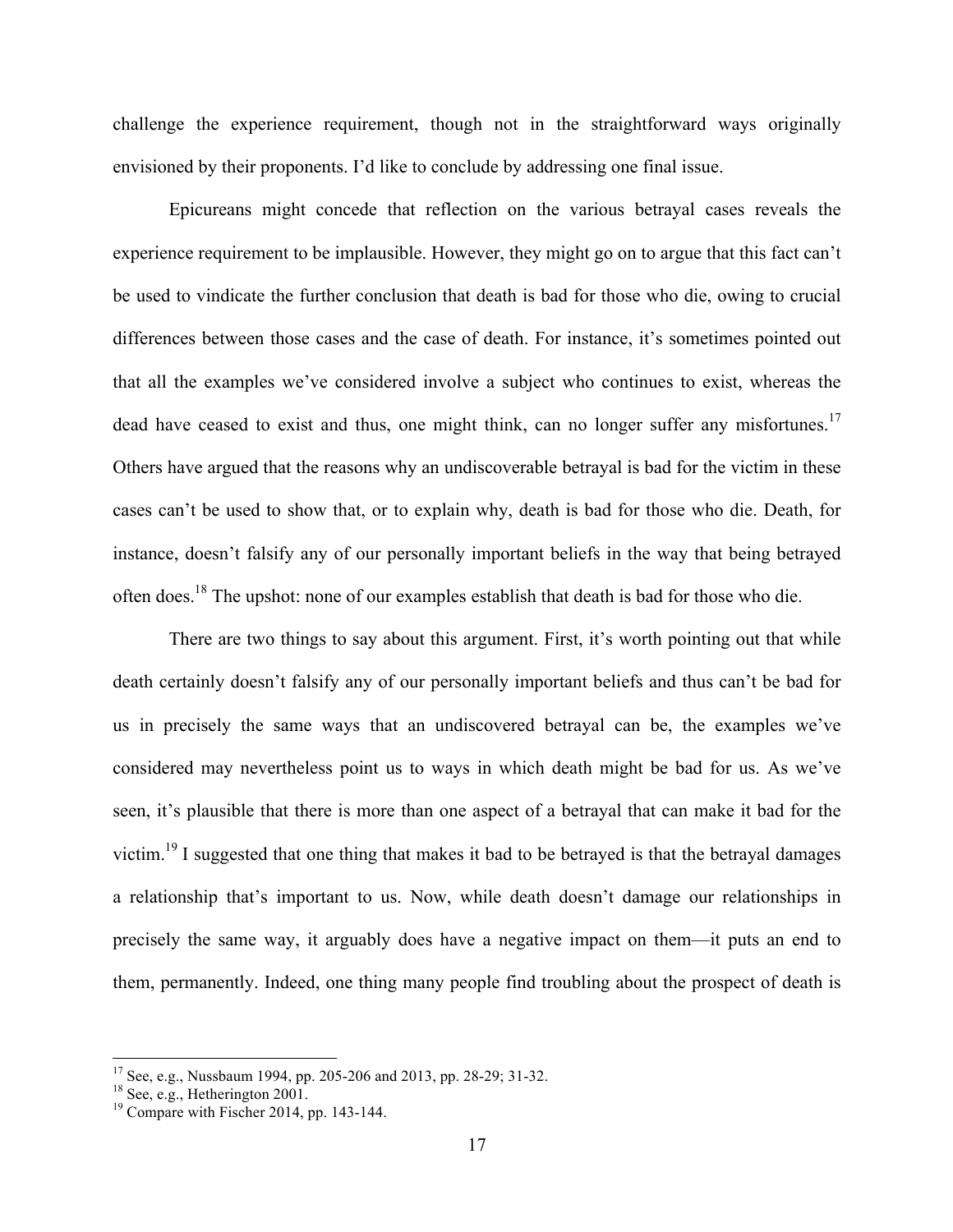challenge the experience requirement, though not in the straightforward ways originally envisioned by their proponents. I'd like to conclude by addressing one final issue.

Epicureans might concede that reflection on the various betrayal cases reveals the experience requirement to be implausible. However, they might go on to argue that this fact can't be used to vindicate the further conclusion that death is bad for those who die, owing to crucial differences between those cases and the case of death. For instance, it's sometimes pointed out that all the examples we've considered involve a subject who continues to exist, whereas the dead have ceased to exist and thus, one might think, can no longer suffer any misfortunes.<sup>17</sup> Others have argued that the reasons why an undiscoverable betrayal is bad for the victim in these cases can't be used to show that, or to explain why, death is bad for those who die. Death, for instance, doesn't falsify any of our personally important beliefs in the way that being betrayed often does.<sup>18</sup> The upshot: none of our examples establish that death is bad for those who die.

There are two things to say about this argument. First, it's worth pointing out that while death certainly doesn't falsify any of our personally important beliefs and thus can't be bad for us in precisely the same ways that an undiscovered betrayal can be, the examples we've considered may nevertheless point us to ways in which death might be bad for us. As we've seen, it's plausible that there is more than one aspect of a betrayal that can make it bad for the victim.<sup>19</sup> I suggested that one thing that makes it bad to be betrayed is that the betrayal damages a relationship that's important to us. Now, while death doesn't damage our relationships in precisely the same way, it arguably does have a negative impact on them—it puts an end to them, permanently. Indeed, one thing many people find troubling about the prospect of death is

<sup>&</sup>lt;sup>17</sup> See, e.g., Nussbaum 1994, pp. 205-206 and 2013, pp. 28-29; 31-32.<br><sup>18</sup> See, e.g., Hetherington 2001.<br><sup>19</sup> Compare with Fischer 2014, pp. 143-144.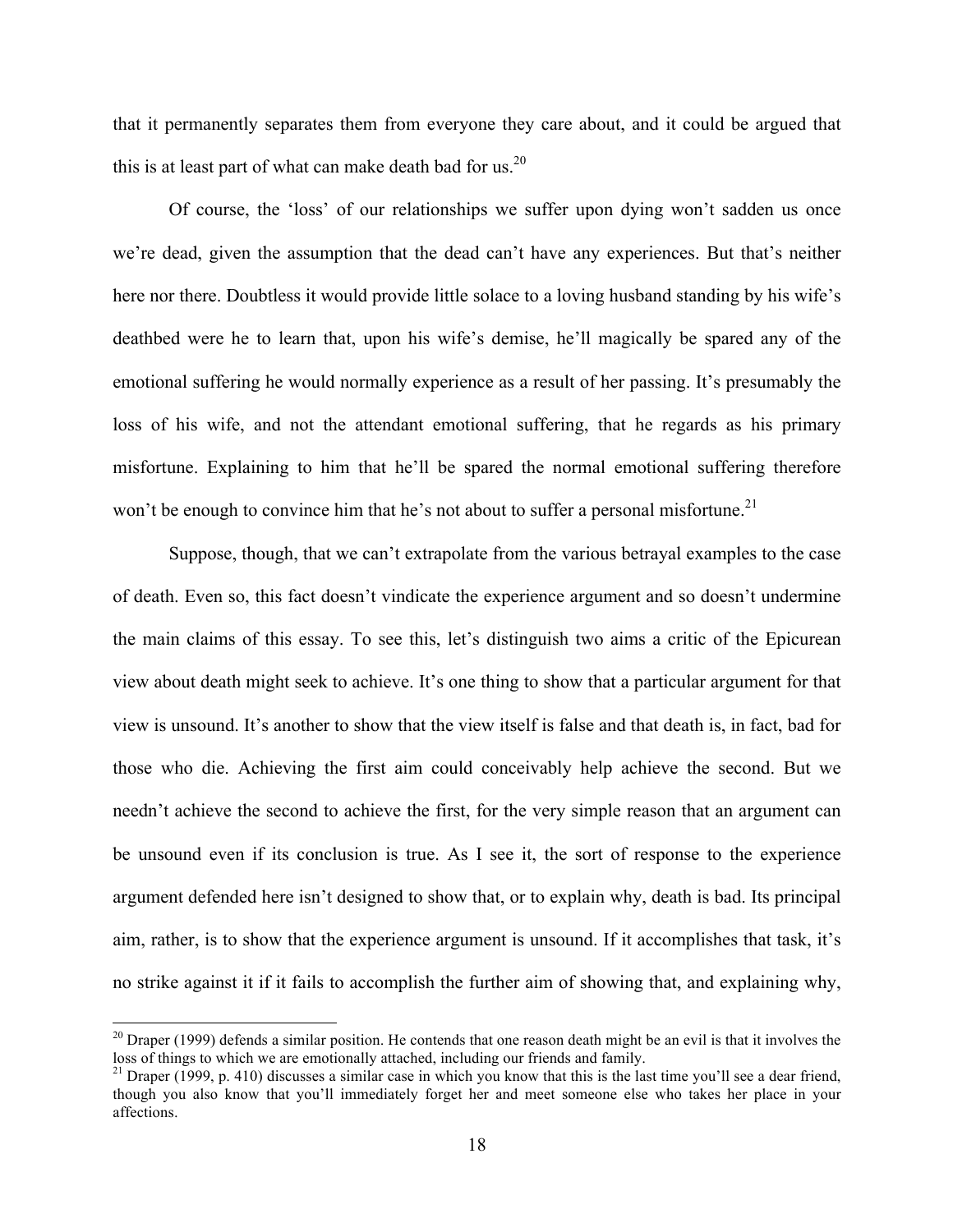that it permanently separates them from everyone they care about, and it could be argued that this is at least part of what can make death bad for us.<sup>20</sup>

Of course, the 'loss' of our relationships we suffer upon dying won't sadden us once we're dead, given the assumption that the dead can't have any experiences. But that's neither here nor there. Doubtless it would provide little solace to a loving husband standing by his wife's deathbed were he to learn that, upon his wife's demise, he'll magically be spared any of the emotional suffering he would normally experience as a result of her passing. It's presumably the loss of his wife, and not the attendant emotional suffering, that he regards as his primary misfortune. Explaining to him that he'll be spared the normal emotional suffering therefore won't be enough to convince him that he's not about to suffer a personal misfortune.<sup>21</sup>

Suppose, though, that we can't extrapolate from the various betrayal examples to the case of death. Even so, this fact doesn't vindicate the experience argument and so doesn't undermine the main claims of this essay. To see this, let's distinguish two aims a critic of the Epicurean view about death might seek to achieve. It's one thing to show that a particular argument for that view is unsound. It's another to show that the view itself is false and that death is, in fact, bad for those who die. Achieving the first aim could conceivably help achieve the second. But we needn't achieve the second to achieve the first, for the very simple reason that an argument can be unsound even if its conclusion is true. As I see it, the sort of response to the experience argument defended here isn't designed to show that, or to explain why, death is bad. Its principal aim, rather, is to show that the experience argument is unsound. If it accomplishes that task, it's no strike against it if it fails to accomplish the further aim of showing that, and explaining why,

 $20$  Draper (1999) defends a similar position. He contends that one reason death might be an evil is that it involves the loss of things to which we are emotionally attached, including our friends and family.

 $21$  Draper (1999, p. 410) discusses a similar case in which you know that this is the last time you'll see a dear friend, though you also know that you'll immediately forget her and meet someone else who takes her place in your affections.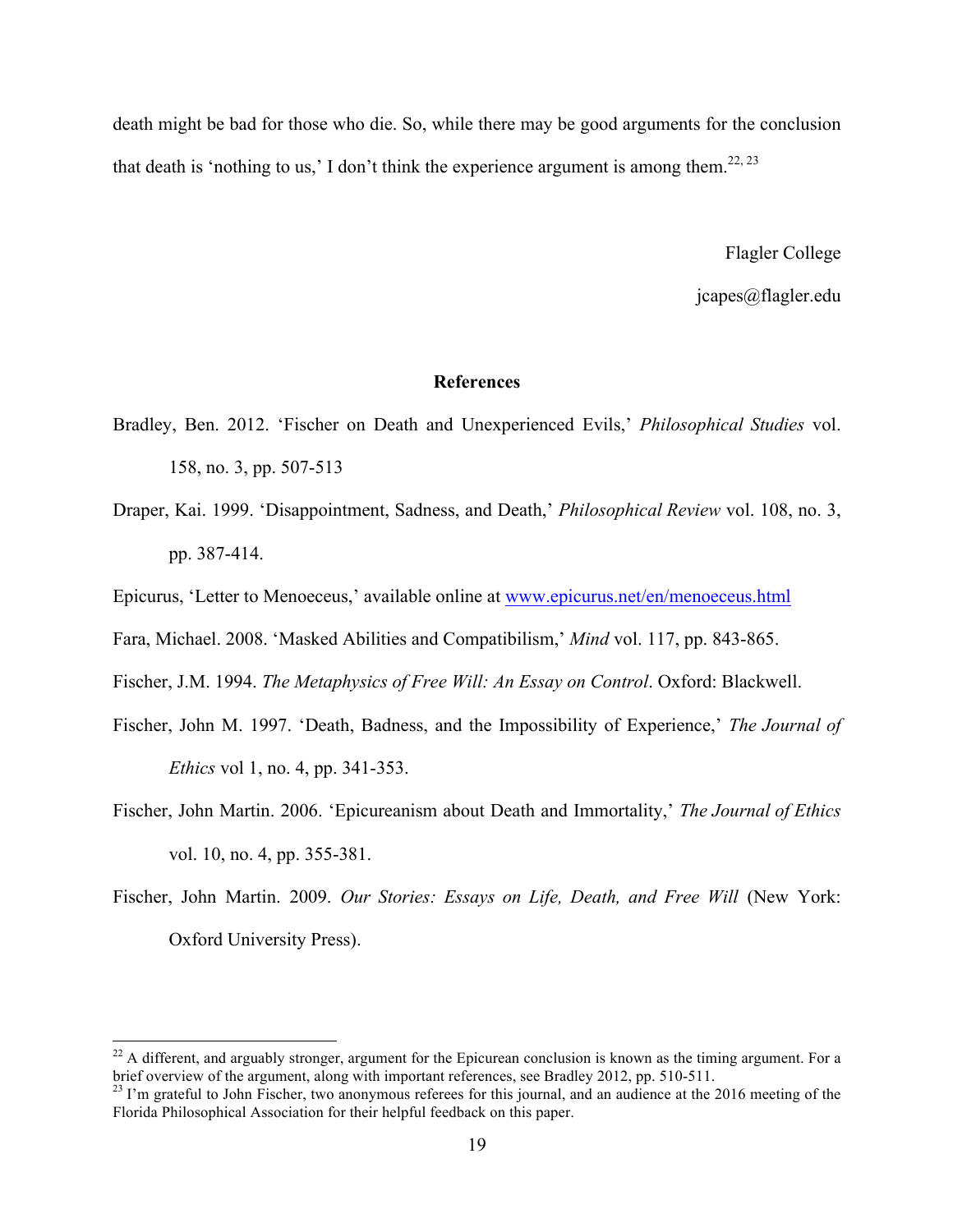death might be bad for those who die. So, while there may be good arguments for the conclusion that death is 'nothing to us,' I don't think the experience argument is among them.<sup>22, 23</sup>

> Flagler College jcapes@flagler.edu

## **References**

- Bradley, Ben. 2012. 'Fischer on Death and Unexperienced Evils,' *Philosophical Studies* vol. 158, no. 3, pp. 507-513
- Draper, Kai. 1999. 'Disappointment, Sadness, and Death,' *Philosophical Review* vol. 108, no. 3, pp. 387-414.

Epicurus, 'Letter to Menoeceus,' available online at www.epicurus.net/en/menoeceus.html

Fara, Michael. 2008. 'Masked Abilities and Compatibilism,' *Mind* vol. 117, pp. 843-865.

Fischer, J.M. 1994. *The Metaphysics of Free Will: An Essay on Control*. Oxford: Blackwell.

- Fischer, John M. 1997. 'Death, Badness, and the Impossibility of Experience,' *The Journal of Ethics* vol 1, no. 4, pp. 341-353.
- Fischer, John Martin. 2006. 'Epicureanism about Death and Immortality,' *The Journal of Ethics* vol. 10, no. 4, pp. 355-381.
- Fischer, John Martin. 2009. *Our Stories: Essays on Life, Death, and Free Will* (New York: Oxford University Press).

 $^{22}$  A different, and arguably stronger, argument for the Epicurean conclusion is known as the timing argument. For a brief overview of the argument, along with important references, see Bradley 2012, pp. 510-511.<br><sup>23</sup> I'm grateful to John Fischer, two anonymous referees for this journal, and an audience at the 2016 meeting of the

Florida Philosophical Association for their helpful feedback on this paper.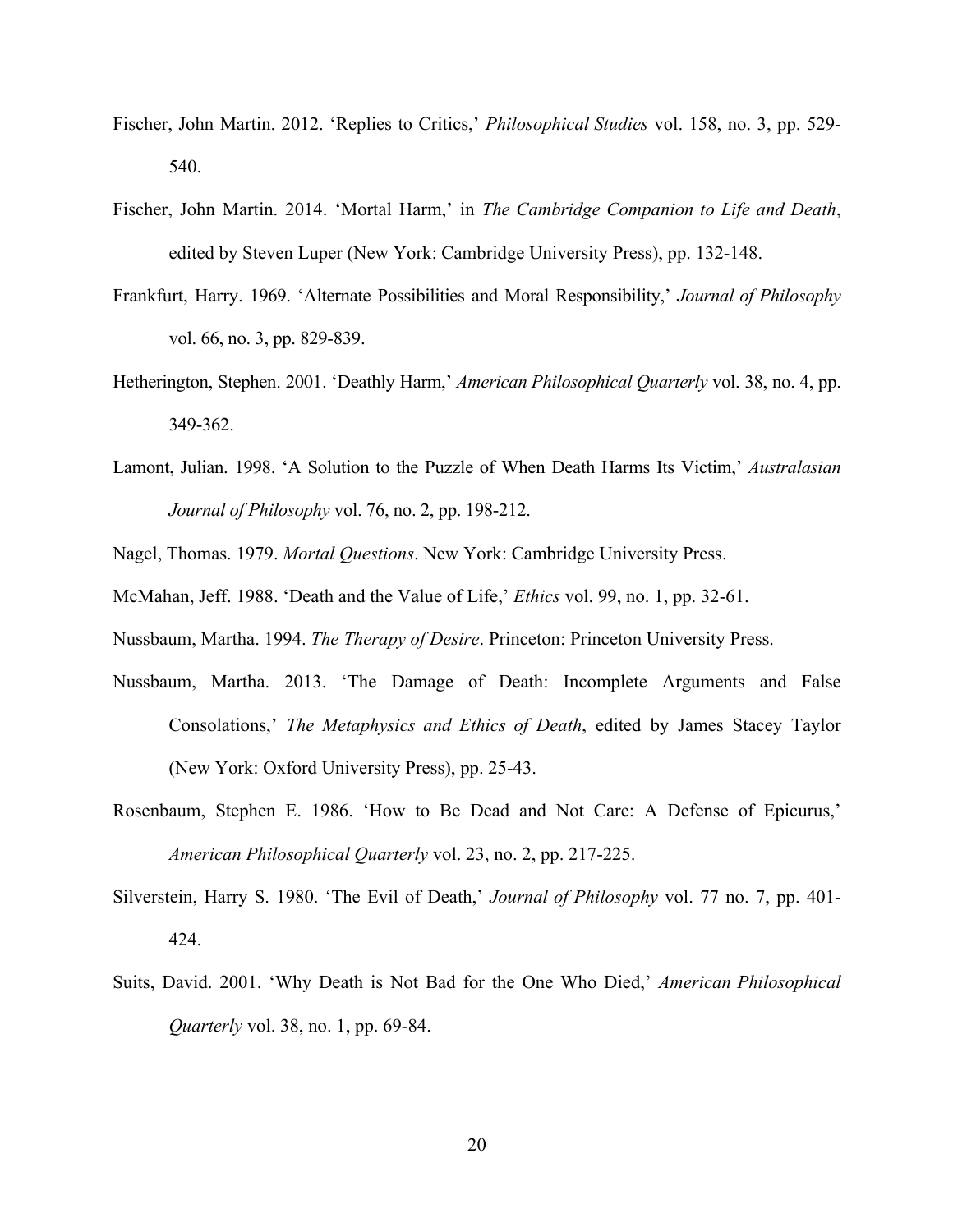- Fischer, John Martin. 2012. 'Replies to Critics,' *Philosophical Studies* vol. 158, no. 3, pp. 529- 540.
- Fischer, John Martin. 2014. 'Mortal Harm,' in *The Cambridge Companion to Life and Death*, edited by Steven Luper (New York: Cambridge University Press), pp. 132-148.
- Frankfurt, Harry. 1969. 'Alternate Possibilities and Moral Responsibility,' *Journal of Philosophy* vol. 66, no. 3, pp. 829-839.
- Hetherington, Stephen. 2001. 'Deathly Harm,' *American Philosophical Quarterly* vol. 38, no. 4, pp. 349-362.
- Lamont, Julian. 1998. 'A Solution to the Puzzle of When Death Harms Its Victim,' *Australasian Journal of Philosophy* vol. 76, no. 2, pp. 198-212.
- Nagel, Thomas. 1979. *Mortal Questions*. New York: Cambridge University Press.
- McMahan, Jeff. 1988. 'Death and the Value of Life,' *Ethics* vol. 99, no. 1, pp. 32-61.
- Nussbaum, Martha. 1994. *The Therapy of Desire*. Princeton: Princeton University Press.
- Nussbaum, Martha. 2013. 'The Damage of Death: Incomplete Arguments and False Consolations,' *The Metaphysics and Ethics of Death*, edited by James Stacey Taylor (New York: Oxford University Press), pp. 25-43.
- Rosenbaum, Stephen E. 1986. 'How to Be Dead and Not Care: A Defense of Epicurus,' *American Philosophical Quarterly* vol. 23, no. 2, pp. 217-225.
- Silverstein, Harry S. 1980. 'The Evil of Death,' *Journal of Philosophy* vol. 77 no. 7, pp. 401- 424.
- Suits, David. 2001. 'Why Death is Not Bad for the One Who Died,' *American Philosophical Quarterly* vol. 38, no. 1, pp. 69-84.